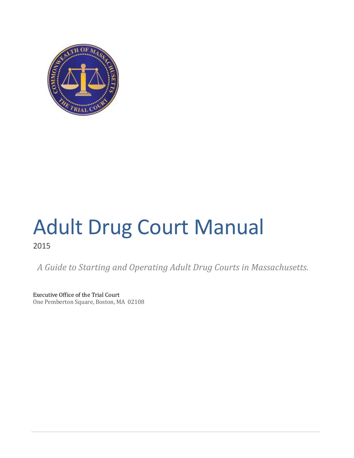

# Adult Drug Court Manual 2015

*A Guide to Starting and Operating Adult Drug Courts in Massachusetts.*

Executive Office of the Trial Court One Pemberton Square, Boston, MA 02108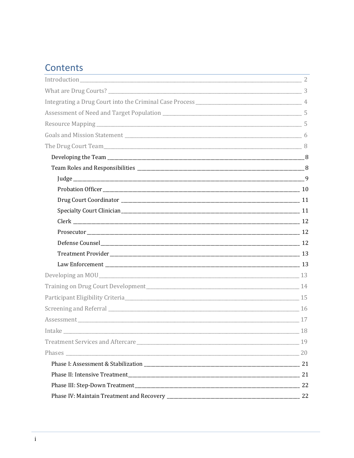## Contents

| Intake       | 18 |
|--------------|----|
|              | 19 |
| Phases 20 20 |    |
|              |    |
|              |    |
|              |    |
|              |    |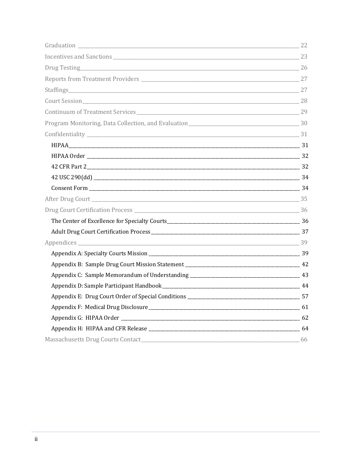| Staffings 27           |     |
|------------------------|-----|
|                        |     |
|                        |     |
|                        |     |
|                        |     |
|                        |     |
|                        |     |
|                        |     |
|                        |     |
|                        |     |
| After Drug Court 25 35 |     |
|                        |     |
|                        |     |
|                        |     |
|                        |     |
|                        |     |
|                        |     |
|                        |     |
|                        |     |
|                        |     |
|                        |     |
|                        |     |
|                        |     |
|                        | -66 |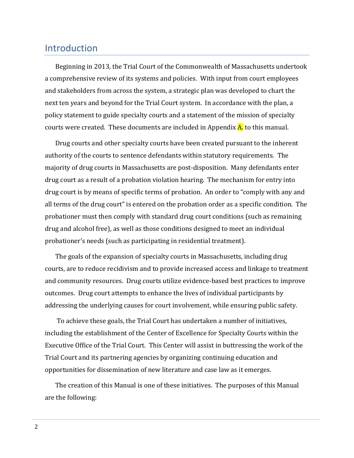## <span id="page-3-0"></span>Introduction

Beginning in 2013, the Trial Court of the Commonwealth of Massachusetts undertook a comprehensive review of its systems and policies. With input from court employees and stakeholders from across the system, a strategic plan was developed to chart the next ten years and beyond for the Trial Court system. In accordance with the plan, a policy statement to guide specialty courts and a statement of the mission of specialty courts were created. These documents are included in Appendix A. to this manual.

Drug courts and other specialty courts have been created pursuant to the inherent authority of the courts to sentence defendants within statutory requirements. The majority of drug courts in Massachusetts are post-disposition. Many defendants enter drug court as a result of a probation violation hearing. The mechanism for entry into drug court is by means of specific terms of probation. An order to "comply with any and all terms of the drug court" is entered on the probation order as a specific condition. The probationer must then comply with standard drug court conditions (such as remaining drug and alcohol free), as well as those conditions designed to meet an individual probationer's needs (such as participating in residential treatment).

The goals of the expansion of specialty courts in Massachusetts, including drug courts, are to reduce recidivism and to provide increased access and linkage to treatment and community resources. Drug courts utilize evidence-based best practices to improve outcomes. Drug court attempts to enhance the lives of individual participants by addressing the underlying causes for court involvement, while ensuring public safety.

To achieve these goals, the Trial Court has undertaken a number of initiatives, including the establishment of the Center of Excellence for Specialty Courts within the Executive Office of the Trial Court. This Center will assist in buttressing the work of the Trial Court and its partnering agencies by organizing continuing education and opportunities for dissemination of new literature and case law as it emerges.

The creation of this Manual is one of these initiatives. The purposes of this Manual are the following: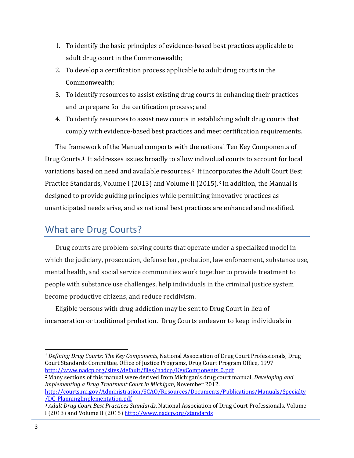- 1. To identify the basic principles of evidence-based best practices applicable to adult drug court in the Commonwealth;
- 2. To develop a certification process applicable to adult drug courts in the Commonwealth;
- 3. To identify resources to assist existing drug courts in enhancing their practices and to prepare for the certification process; and
- 4. To identify resources to assist new courts in establishing adult drug courts that comply with evidence-based best practices and meet certification requirements.

The framework of the Manual comports with the national Ten Key Components of Drug Courts.1 It addresses issues broadly to allow individual courts to account for local variations based on need and available resources.2 It incorporates the Adult Court Best Practice Standards, Volume I (2013) and Volume II (2015).<sup>3</sup> In addition, the Manual is designed to provide guiding principles while permitting innovative practices as unanticipated needs arise, and as national best practices are enhanced and modified.

## <span id="page-4-0"></span>What are Drug Courts?

Drug courts are problem-solving courts that operate under a specialized model in which the judiciary, prosecution, defense bar, probation, law enforcement, substance use, mental health, and social service communities work together to provide treatment to people with substance use challenges, help individuals in the criminal justice system become productive citizens, and reduce recidivism.

Eligible persons with drug-addiction may be sent to Drug Court in lieu of incarceration or traditional probation. Drug Courts endeavor to keep individuals in

<sup>2</sup> Many sections of this manual were derived from Michigan's drug court manual, *Developing and Implementing a Drug Treatment Court in Michigan*, November 2012.

l

*<sup>1</sup> Defining Drug Courts: The Key Components*, National Association of Drug Court Professionals, Drug Court Standards Committee, Office of Justice Programs, Drug Court Program Office, 1997 [http://www.nadcp.org/sites/default/files/nadcp/KeyComponents\\_0.pdf](http://www.nadcp.org/sites/default/files/nadcp/KeyComponents_0.pdf)

[http://courts.mi.gov/Administration/SCAO/Resources/Documents/Publications/Manuals/Specialty](http://courts.mi.gov/Administration/SCAO/Resources/Documents/Publications/Manuals/Specialty/DC-PlanningImplementation.pdf) [/DC-PlanningImplementation.pdf](http://courts.mi.gov/Administration/SCAO/Resources/Documents/Publications/Manuals/Specialty/DC-PlanningImplementation.pdf)

<sup>3</sup> *Adult Drug Court Best Practices Standards*, National Association of Drug Court Professionals, Volume I (2013) and Volume II (2015[\) http://www.nadcp.org/standards](http://www.nadcp.org/standards)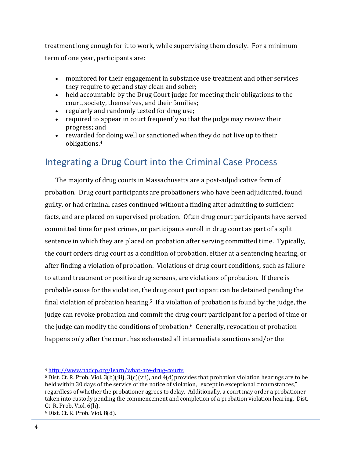treatment long enough for it to work, while supervising them closely. For a minimum term of one year, participants are:

- monitored for their engagement in substance use treatment and other services they require to get and stay clean and sober;
- held accountable by the Drug Court judge for meeting their obligations to the court, society, themselves, and their families;
- regularly and randomly tested for drug use;
- required to appear in court frequently so that the judge may review their progress; and
- rewarded for doing well or sanctioned when they do not live up to their obligations.<sup>4</sup>

## <span id="page-5-0"></span>Integrating a Drug Court into the Criminal Case Process

The majority of drug courts in Massachusetts are a post-adjudicative form of probation. Drug court participants are probationers who have been adjudicated, found guilty, or had criminal cases continued without a finding after admitting to sufficient facts, and are placed on supervised probation. Often drug court participants have served committed time for past crimes, or participants enroll in drug court as part of a split sentence in which they are placed on probation after serving committed time. Typically, the court orders drug court as a condition of probation, either at a sentencing hearing, or after finding a violation of probation. Violations of drug court conditions, such as failure to attend treatment or positive drug screens, are violations of probation. If there is probable cause for the violation, the drug court participant can be detained pending the final violation of probation hearing.<sup>5</sup> If a violation of probation is found by the judge, the judge can revoke probation and commit the drug court participant for a period of time or the judge can modify the conditions of probation. $6$  Generally, revocation of probation happens only after the court has exhausted all intermediate sanctions and/or the

 $\overline{a}$ 

<sup>4</sup> <http://www.nadcp.org/learn/what-are-drug-courts>

<sup>5</sup> Dist. Ct. R. Prob. Viol. 3(b)(iii), 3(c)(vii), and 4(d)provides that probation violation hearings are to be held within 30 days of the service of the notice of violation, "except in exceptional circumstances," regardless of whether the probationer agrees to delay. Additionally, a court may order a probationer taken into custody pending the commencement and completion of a probation violation hearing. Dist. Ct. R. Prob. Viol. 6(h).

<sup>6</sup> Dist. Ct. R. Prob. Viol. 8(d).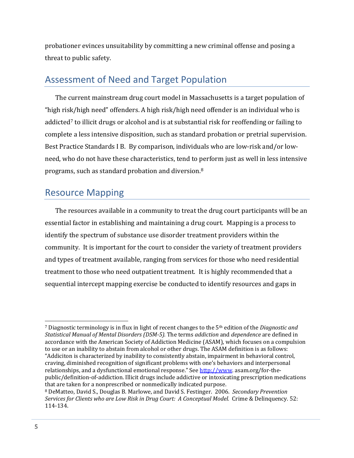probationer evinces unsuitability by committing a new criminal offense and posing a threat to public safety.

## <span id="page-6-0"></span>Assessment of Need and Target Population

The current mainstream drug court model in Massachusetts is a target population of "high risk/high need" offenders. A high risk/high need offender is an individual who is addicted<sup>7</sup> to illicit drugs or alcohol and is at substantial risk for reoffending or failing to complete a less intensive disposition, such as standard probation or pretrial supervision. Best Practice Standards I B. By comparison, individuals who are low-risk and/or lowneed, who do not have these characteristics, tend to perform just as well in less intensive programs, such as standard probation and diversion.<sup>8</sup>

## <span id="page-6-1"></span>Resource Mapping

The resources available in a community to treat the drug court participants will be an essential factor in establishing and maintaining a drug court. Mapping is a process to identify the spectrum of substance use disorder treatment providers within the community. It is important for the court to consider the variety of treatment providers and types of treatment available, ranging from services for those who need residential treatment to those who need outpatient treatment. It is highly recommended that a sequential intercept mapping exercise be conducted to identify resources and gaps in

l

<sup>7</sup> Diagnostic terminology is in flux in light of recent changes to the 5th edition of the *Diagnostic and Statistical Manual of Mental Disorders (DSM-5).* The terms *addiction* and *dependence* are defined in accordance with the American Society of Addiction Medicine (ASAM), which focuses on a compulsion to use or an inability to abstain from alcohol or other drugs. The ASAM definition is as follows: "Addiciton is characterized by inability to consistently abstain, impairment in behavioral control, craving, diminished recognition of significant problems with one's behaviors and interpersonal relationships, and a dysfunctional emotional response." See [http://www.](http://www/) asam.org/for-thepublic/definition-of-addiction. Illicit drugs include addictive or intoxicating prescription medications that are taken for a nonprescribed or nonmedically indicated purpose.

<sup>8</sup> DeMatteo, David S., Douglas B. Marlowe, and David S. Festinger. 2006. *Secondary Prevention Services for Clients who are Low Risk in Drug Court: A Conceptual Model.* Crime & Delinquency. 52: 114-134.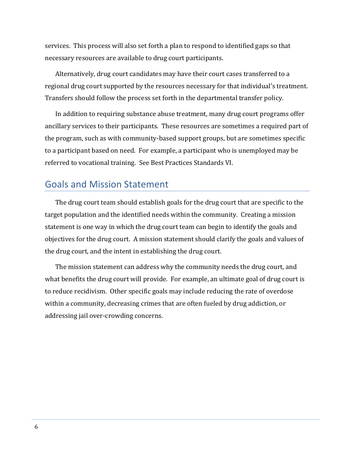services. This process will also set forth a plan to respond to identified gaps so that necessary resources are available to drug court participants.

Alternatively, drug court candidates may have their court cases transferred to a regional drug court supported by the resources necessary for that individual's treatment. Transfers should follow the process set forth in the departmental transfer policy.

In addition to requiring substance abuse treatment, many drug court programs offer ancillary services to their participants. These resources are sometimes a required part of the program, such as with community-based support groups, but are sometimes specific to a participant based on need. For example, a participant who is unemployed may be referred to vocational training. See Best Practices Standards VI.

## <span id="page-7-0"></span>Goals and Mission Statement

The drug court team should establish goals for the drug court that are specific to the target population and the identified needs within the community. Creating a mission statement is one way in which the drug court team can begin to identify the goals and objectives for the drug court. A mission statement should clarify the goals and values of the drug court, and the intent in establishing the drug court.

The mission statement can address why the community needs the drug court, and what benefits the drug court will provide. For example, an ultimate goal of drug court is to reduce recidivism. Other specific goals may include reducing the rate of overdose within a community, decreasing crimes that are often fueled by drug addiction, or addressing jail over-crowding concerns.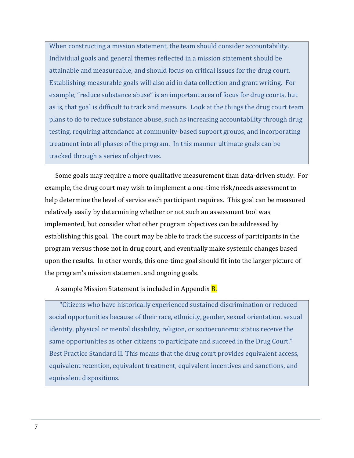When constructing a mission statement, the team should consider accountability. Individual goals and general themes reflected in a mission statement should be attainable and measureable, and should focus on critical issues for the drug court. Establishing measurable goals will also aid in data collection and grant writing. For example, "reduce substance abuse" is an important area of focus for drug courts, but as is, that goal is difficult to track and measure. Look at the things the drug court team plans to do to reduce substance abuse, such as increasing accountability through drug testing, requiring attendance at community-based support groups, and incorporating treatment into all phases of the program. In this manner ultimate goals can be tracked through a series of objectives.

Some goals may require a more qualitative measurement than data-driven study. For example, the drug court may wish to implement a one-time risk/needs assessment to help determine the level of service each participant requires. This goal can be measured relatively easily by determining whether or not such an assessment tool was implemented, but consider what other program objectives can be addressed by establishing this goal. The court may be able to track the success of participants in the program versus those not in drug court, and eventually make systemic changes based upon the results. In other words, this one-time goal should fit into the larger picture of the program's mission statement and ongoing goals.

A sample Mission Statement is included in Appendix **B**.

"Citizens who have historically experienced sustained discrimination or reduced social opportunities because of their race, ethnicity, gender, sexual orientation, sexual identity, physical or mental disability, religion, or socioeconomic status receive the same opportunities as other citizens to participate and succeed in the Drug Court." Best Practice Standard II. This means that the drug court provides equivalent access, equivalent retention, equivalent treatment, equivalent incentives and sanctions, and equivalent dispositions.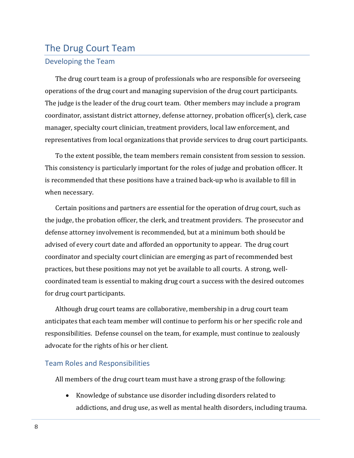## <span id="page-9-0"></span>The Drug Court Team

### <span id="page-9-1"></span>Developing the Team

The drug court team is a group of professionals who are responsible for overseeing operations of the drug court and managing supervision of the drug court participants. The judge is the leader of the drug court team. Other members may include a program coordinator, assistant district attorney, defense attorney, probation officer(s), clerk, case manager, specialty court clinician, treatment providers, local law enforcement, and representatives from local organizations that provide services to drug court participants.

To the extent possible, the team members remain consistent from session to session. This consistency is particularly important for the roles of judge and probation officer. It is recommended that these positions have a trained back-up who is available to fill in when necessary.

Certain positions and partners are essential for the operation of drug court, such as the judge, the probation officer, the clerk, and treatment providers. The prosecutor and defense attorney involvement is recommended, but at a minimum both should be advised of every court date and afforded an opportunity to appear. The drug court coordinator and specialty court clinician are emerging as part of recommended best practices, but these positions may not yet be available to all courts. A strong, wellcoordinated team is essential to making drug court a success with the desired outcomes for drug court participants.

Although drug court teams are collaborative, membership in a drug court team anticipates that each team member will continue to perform his or her specific role and responsibilities. Defense counsel on the team, for example, must continue to zealously advocate for the rights of his or her client.

#### <span id="page-9-2"></span>Team Roles and Responsibilities

All members of the drug court team must have a strong grasp of the following:

 Knowledge of substance use disorder including disorders related to addictions, and drug use, as well as mental health disorders, including trauma.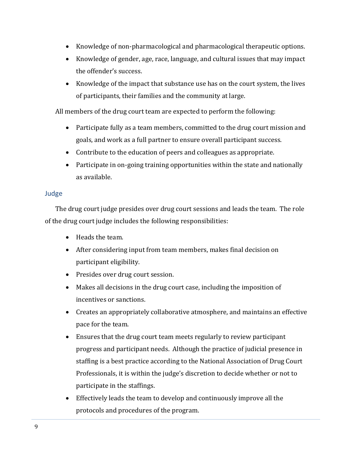- Knowledge of non-pharmacological and pharmacological therapeutic options.
- Knowledge of gender, age, race, language, and cultural issues that may impact the offender's success.
- Knowledge of the impact that substance use has on the court system, the lives of participants, their families and the community at large.

All members of the drug court team are expected to perform the following:

- Participate fully as a team members, committed to the drug court mission and goals, and work as a full partner to ensure overall participant success.
- Contribute to the education of peers and colleagues as appropriate.
- Participate in on-going training opportunities within the state and nationally as available.

## <span id="page-10-0"></span>Judge

The drug court judge presides over drug court sessions and leads the team. The role of the drug court judge includes the following responsibilities:

- Heads the team.
- After considering input from team members, makes final decision on participant eligibility.
- Presides over drug court session.
- Makes all decisions in the drug court case, including the imposition of incentives or sanctions.
- Creates an appropriately collaborative atmosphere, and maintains an effective pace for the team.
- Ensures that the drug court team meets regularly to review participant progress and participant needs. Although the practice of judicial presence in staffing is a best practice according to the National Association of Drug Court Professionals, it is within the judge's discretion to decide whether or not to participate in the staffings.
- Effectively leads the team to develop and continuously improve all the protocols and procedures of the program.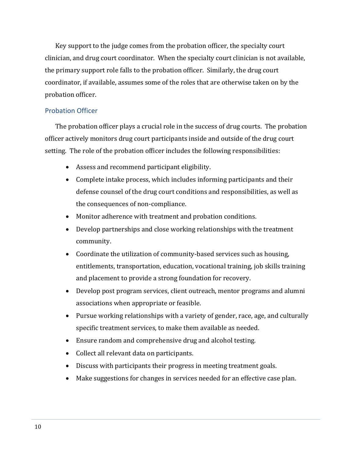Key support to the judge comes from the probation officer, the specialty court clinician, and drug court coordinator. When the specialty court clinician is not available, the primary support role falls to the probation officer. Similarly, the drug court coordinator, if available, assumes some of the roles that are otherwise taken on by the probation officer.

### <span id="page-11-0"></span>Probation Officer

The probation officer plays a crucial role in the success of drug courts. The probation officer actively monitors drug court participants inside and outside of the drug court setting. The role of the probation officer includes the following responsibilities:

- Assess and recommend participant eligibility.
- Complete intake process, which includes informing participants and their defense counsel of the drug court conditions and responsibilities, as well as the consequences of non-compliance.
- Monitor adherence with treatment and probation conditions.
- Develop partnerships and close working relationships with the treatment community.
- Coordinate the utilization of community-based services such as housing, entitlements, transportation, education, vocational training, job skills training and placement to provide a strong foundation for recovery.
- Develop post program services, client outreach, mentor programs and alumni associations when appropriate or feasible.
- Pursue working relationships with a variety of gender, race, age, and culturally specific treatment services, to make them available as needed.
- Ensure random and comprehensive drug and alcohol testing.
- Collect all relevant data on participants.
- Discuss with participants their progress in meeting treatment goals.
- Make suggestions for changes in services needed for an effective case plan.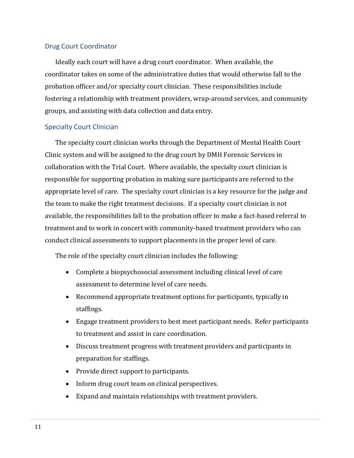#### <span id="page-12-0"></span>Drug Court Coordinator

Ideally each court will have a drug court coordinator. When available, the coordinator takes on some of the administrative duties that would otherwise fall to the probation officer and/or specialty court clinician. These responsibilities include fostering a relationship with treatment providers, wrap-around services, and community groups, and assisting with data collection and data entry.

#### <span id="page-12-1"></span>Specialty Court Clinician

The specialty court clinician works through the Department of Mental Health Court Clinic system and will be assigned to the drug court by DMH Forensic Services in collaboration with the Trial Court. Where available, the specialty court clinician is responsible for supporting probation in making sure participants are referred to the appropriate level of care. The specialty court clinician is a key resource for the judge and the team to make the right treatment decisions. If a specialty court clinician is not available, the responsibilities fall to the probation officer to make a fact-based referral to treatment and to work in concert with community-based treatment providers who can conduct clinical assessments to support placements in the proper level of care.

The role of the specialty court clinician includes the following:

- Complete a biopsychosocial assessment including clinical level of care assessment to determine level of care needs.
- Recommend appropriate treatment options for participants, typically in staffings.
- Engage treatment providers to best meet participant needs. Refer participants to treatment and assist in care coordination.
- Discuss treatment progress with treatment providers and participants in preparation for staffings.
- Provide direct support to participants.
- Inform drug court team on clinical perspectives.
- Expand and maintain relationships with treatment providers.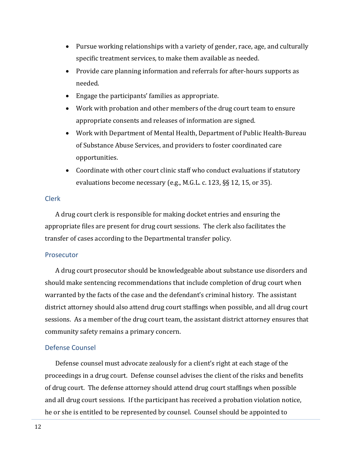- Pursue working relationships with a variety of gender, race, age, and culturally specific treatment services, to make them available as needed.
- Provide care planning information and referrals for after-hours supports as needed.
- Engage the participants' families as appropriate.
- Work with probation and other members of the drug court team to ensure appropriate consents and releases of information are signed.
- Work with Department of Mental Health, Department of Public Health-Bureau of Substance Abuse Services, and providers to foster coordinated care opportunities.
- Coordinate with other court clinic staff who conduct evaluations if statutory evaluations become necessary (e.g., M.G.L. c. 123, §§ 12, 15, or 35).

#### <span id="page-13-0"></span>Clerk

A drug court clerk is responsible for making docket entries and ensuring the appropriate files are present for drug court sessions. The clerk also facilitates the transfer of cases according to the Departmental transfer policy.

#### <span id="page-13-1"></span>Prosecutor

A drug court prosecutor should be knowledgeable about substance use disorders and should make sentencing recommendations that include completion of drug court when warranted by the facts of the case and the defendant's criminal history. The assistant district attorney should also attend drug court staffings when possible, and all drug court sessions. As a member of the drug court team, the assistant district attorney ensures that community safety remains a primary concern.

#### <span id="page-13-2"></span>Defense Counsel

Defense counsel must advocate zealously for a client's right at each stage of the proceedings in a drug court. Defense counsel advises the client of the risks and benefits of drug court. The defense attorney should attend drug court staffings when possible and all drug court sessions. If the participant has received a probation violation notice, he or she is entitled to be represented by counsel. Counsel should be appointed to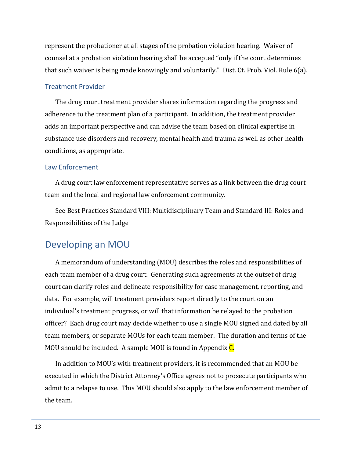represent the probationer at all stages of the probation violation hearing. Waiver of counsel at a probation violation hearing shall be accepted "only if the court determines that such waiver is being made knowingly and voluntarily." Dist. Ct. Prob. Viol. Rule 6(a).

#### <span id="page-14-0"></span>Treatment Provider

The drug court treatment provider shares information regarding the progress and adherence to the treatment plan of a participant. In addition, the treatment provider adds an important perspective and can advise the team based on clinical expertise in substance use disorders and recovery, mental health and trauma as well as other health conditions, as appropriate.

#### <span id="page-14-1"></span>Law Enforcement

A drug court law enforcement representative serves as a link between the drug court team and the local and regional law enforcement community.

See Best Practices Standard VIII: Multidisciplinary Team and Standard III: Roles and Responsibilities of the Judge

## <span id="page-14-2"></span>Developing an MOU

A memorandum of understanding (MOU) describes the roles and responsibilities of each team member of a drug court. Generating such agreements at the outset of drug court can clarify roles and delineate responsibility for case management, reporting, and data. For example, will treatment providers report directly to the court on an individual's treatment progress, or will that information be relayed to the probation officer? Each drug court may decide whether to use a single MOU signed and dated by all team members, or separate MOUs for each team member. The duration and terms of the MOU should be included. A sample MOU is found in Appendix C.

In addition to MOU's with treatment providers, it is recommended that an MOU be executed in which the District Attorney's Office agrees not to prosecute participants who admit to a relapse to use. This MOU should also apply to the law enforcement member of the team.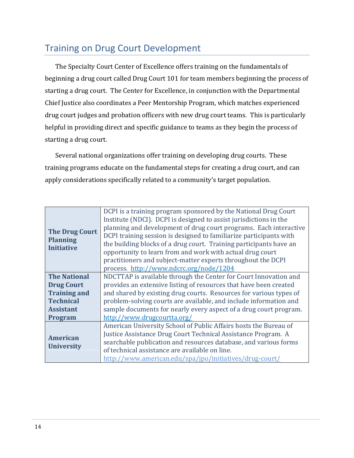## <span id="page-15-0"></span>Training on Drug Court Development

The Specialty Court Center of Excellence offers training on the fundamentals of beginning a drug court called Drug Court 101 for team members beginning the process of starting a drug court. The Center for Excellence, in conjunction with the Departmental Chief Justice also coordinates a Peer Mentorship Program, which matches experienced drug court judges and probation officers with new drug court teams. This is particularly helpful in providing direct and specific guidance to teams as they begin the process of starting a drug court.

Several national organizations offer training on developing drug courts. These training programs educate on the fundamental steps for creating a drug court, and can apply considerations specifically related to a community's target population.

| <b>The Drug Court</b><br><b>Planning</b><br><b>Initiative</b> | DCPI is a training program sponsored by the National Drug Court<br>Institute (NDCI). DCPI is designed to assist jurisdictions in the<br>planning and development of drug court programs. Each interactive<br>DCPI training session is designed to familiarize participants with<br>the building blocks of a drug court. Training participants have an<br>opportunity to learn from and work with actual drug court |
|---------------------------------------------------------------|--------------------------------------------------------------------------------------------------------------------------------------------------------------------------------------------------------------------------------------------------------------------------------------------------------------------------------------------------------------------------------------------------------------------|
|                                                               | practitioners and subject-matter experts throughout the DCPI<br>process. http://www.ndcrc.org/node/1204                                                                                                                                                                                                                                                                                                            |
| <b>The National</b>                                           | NDCTTAP is available through the Center for Court Innovation and                                                                                                                                                                                                                                                                                                                                                   |
| <b>Drug Court</b>                                             | provides an extensive listing of resources that have been created                                                                                                                                                                                                                                                                                                                                                  |
| <b>Training and</b>                                           | and shared by existing drug courts. Resources for various types of                                                                                                                                                                                                                                                                                                                                                 |
| <b>Technical</b>                                              | problem-solving courts are available, and include information and                                                                                                                                                                                                                                                                                                                                                  |
| <b>Assistant</b>                                              | sample documents for nearly every aspect of a drug court program.                                                                                                                                                                                                                                                                                                                                                  |
| <b>Program</b>                                                | http://www.drugcourtta.org/                                                                                                                                                                                                                                                                                                                                                                                        |
|                                                               | American University School of Public Affairs hosts the Bureau of                                                                                                                                                                                                                                                                                                                                                   |
| <b>American</b>                                               | Justice Assistance Drug Court Technical Assistance Program. A                                                                                                                                                                                                                                                                                                                                                      |
| <b>University</b>                                             | searchable publication and resources database, and various forms                                                                                                                                                                                                                                                                                                                                                   |
|                                                               | of technical assistance are available on line.                                                                                                                                                                                                                                                                                                                                                                     |
|                                                               | http://www.american.edu/spa/jpo/initiatives/drug-court/                                                                                                                                                                                                                                                                                                                                                            |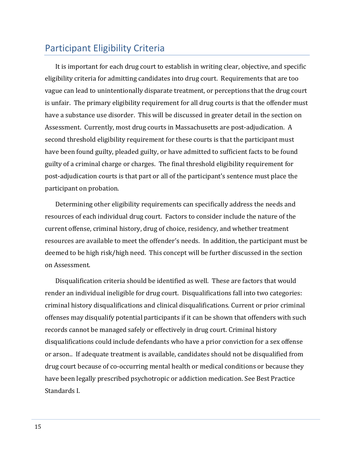## <span id="page-16-0"></span>Participant Eligibility Criteria

It is important for each drug court to establish in writing clear, objective, and specific eligibility criteria for admitting candidates into drug court. Requirements that are too vague can lead to unintentionally disparate treatment, or perceptions that the drug court is unfair. The primary eligibility requirement for all drug courts is that the offender must have a substance use disorder. This will be discussed in greater detail in the section on Assessment. Currently, most drug courts in Massachusetts are post-adjudication. A second threshold eligibility requirement for these courts is that the participant must have been found guilty, pleaded guilty, or have admitted to sufficient facts to be found guilty of a criminal charge or charges. The final threshold eligibility requirement for post-adjudication courts is that part or all of the participant's sentence must place the participant on probation.

Determining other eligibility requirements can specifically address the needs and resources of each individual drug court. Factors to consider include the nature of the current offense, criminal history, drug of choice, residency, and whether treatment resources are available to meet the offender's needs. In addition, the participant must be deemed to be high risk/high need. This concept will be further discussed in the section on Assessment.

Disqualification criteria should be identified as well. These are factors that would render an individual ineligible for drug court. Disqualifications fall into two categories: criminal history disqualifications and clinical disqualifications. Current or prior criminal offenses may disqualify potential participants if it can be shown that offenders with such records cannot be managed safely or effectively in drug court. Criminal history disqualifications could include defendants who have a prior conviction for a sex offense or arson.. If adequate treatment is available, candidates should not be disqualified from drug court because of co-occurring mental health or medical conditions or because they have been legally prescribed psychotropic or addiction medication. See Best Practice Standards I.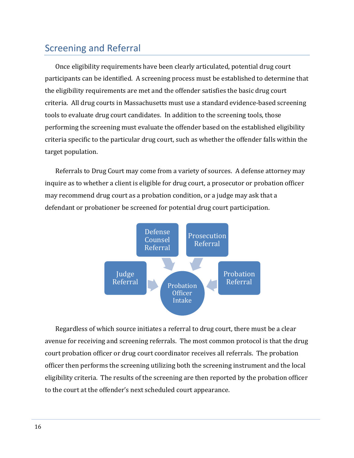## <span id="page-17-0"></span>Screening and Referral

Once eligibility requirements have been clearly articulated, potential drug court participants can be identified. A screening process must be established to determine that the eligibility requirements are met and the offender satisfies the basic drug court criteria. All drug courts in Massachusetts must use a standard evidence-based screening tools to evaluate drug court candidates. In addition to the screening tools, those performing the screening must evaluate the offender based on the established eligibility criteria specific to the particular drug court, such as whether the offender falls within the target population.

Referrals to Drug Court may come from a variety of sources. A defense attorney may inquire as to whether a client is eligible for drug court, a prosecutor or probation officer may recommend drug court as a probation condition, or a judge may ask that a defendant or probationer be screened for potential drug court participation.



Regardless of which source initiates a referral to drug court, there must be a clear avenue for receiving and screening referrals. The most common protocol is that the drug court probation officer or drug court coordinator receives all referrals. The probation officer then performs the screening utilizing both the screening instrument and the local eligibility criteria. The results of the screening are then reported by the probation officer to the court at the offender's next scheduled court appearance.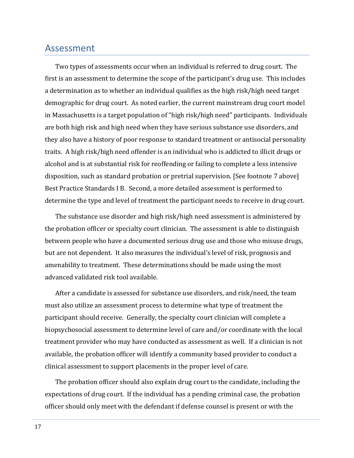## <span id="page-18-0"></span>Assessment

Two types of assessments occur when an individual is referred to drug court. The first is an assessment to determine the scope of the participant's drug use. This includes a determination as to whether an individual qualifies as the high risk/high need target demographic for drug court. As noted earlier, the current mainstream drug court model in Massachusetts is a target population of "high risk/high need" participants. Individuals are both high risk and high need when they have serious substance use disorders, and they also have a history of poor response to standard treatment or antisocial personality traits. A high risk/high need offender is an individual who is addicted to illicit drugs or alcohol and is at substantial risk for reoffending or failing to complete a less intensive disposition, such as standard probation or pretrial supervision. [See footnote 7 above] Best Practice Standards I B. Second, a more detailed assessment is performed to determine the type and level of treatment the participant needs to receive in drug court.

The substance use disorder and high risk/high need assessment is administered by the probation officer or specialty court clinician. The assessment is able to distinguish between people who have a documented serious drug use and those who misuse drugs, but are not dependent. It also measures the individual's level of risk, prognosis and amenability to treatment. These determinations should be made using the most advanced validated risk tool available.

After a candidate is assessed for substance use disorders, and risk/need, the team must also utilize an assessment process to determine what type of treatment the participant should receive. Generally, the specialty court clinician will complete a biopsychosocial assessment to determine level of care and/or coordinate with the local treatment provider who may have conducted as assessment as well. If a clinician is not available, the probation officer will identify a community based provider to conduct a clinical assessment to support placements in the proper level of care.

The probation officer should also explain drug court to the candidate, including the expectations of drug court. If the individual has a pending criminal case, the probation officer should only meet with the defendant if defense counsel is present or with the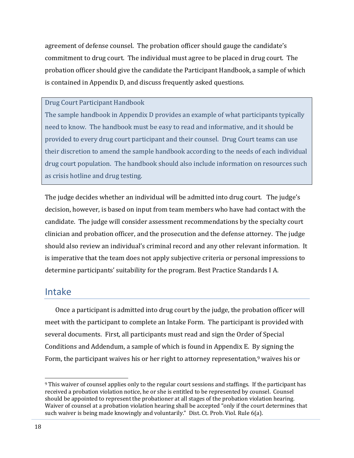agreement of defense counsel. The probation officer should gauge the candidate's commitment to drug court. The individual must agree to be placed in drug court. The probation officer should give the candidate the Participant Handbook, a sample of which is contained in Appendix D, and discuss frequently asked questions.

Drug Court Participant Handbook

The sample handbook in Appendix D provides an example of what participants typically need to know. The handbook must be easy to read and informative, and it should be provided to every drug court participant and their counsel. Drug Court teams can use their discretion to amend the sample handbook according to the needs of each individual drug court population. The handbook should also include information on resources such as crisis hotline and drug testing.

The judge decides whether an individual will be admitted into drug court. The judge's decision, however, is based on input from team members who have had contact with the candidate. The judge will consider assessment recommendations by the specialty court clinician and probation officer, and the prosecution and the defense attorney. The judge should also review an individual's criminal record and any other relevant information. It is imperative that the team does not apply subjective criteria or personal impressions to determine participants' suitability for the program. Best Practice Standards I A.

## <span id="page-19-0"></span>Intake

Once a participant is admitted into drug court by the judge, the probation officer will meet with the participant to complete an Intake Form. The participant is provided with several documents. First, all participants must read and sign the Order of Special Conditions and Addendum, a sample of which is found in Appendix E. By signing the Form, the participant waives his or her right to attorney representation,<sup>9</sup> waives his or

 $\overline{a}$ <sup>9</sup> This waiver of counsel applies only to the regular court sessions and staffings. If the participant has received a probation violation notice, he or she is entitled to be represented by counsel. Counsel should be appointed to represent the probationer at all stages of the probation violation hearing. Waiver of counsel at a probation violation hearing shall be accepted "only if the court determines that such waiver is being made knowingly and voluntarily." Dist. Ct. Prob. Viol. Rule 6(a).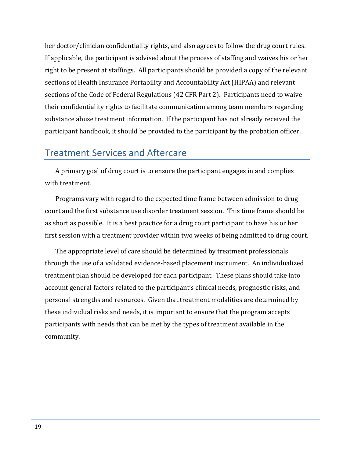her doctor/clinician confidentiality rights, and also agrees to follow the drug court rules. If applicable, the participant is advised about the process of staffing and waives his or her right to be present at staffings. All participants should be provided a copy of the relevant sections of Health Insurance Portability and Accountability Act (HIPAA) and relevant sections of the Code of Federal Regulations (42 CFR Part 2). Participants need to waive their confidentiality rights to facilitate communication among team members regarding substance abuse treatment information. If the participant has not already received the participant handbook, it should be provided to the participant by the probation officer.

## <span id="page-20-0"></span>Treatment Services and Aftercare

A primary goal of drug court is to ensure the participant engages in and complies with treatment.

Programs vary with regard to the expected time frame between admission to drug court and the first substance use disorder treatment session. This time frame should be as short as possible. It is a best practice for a drug court participant to have his or her first session with a treatment provider within two weeks of being admitted to drug court.

The appropriate level of care should be determined by treatment professionals through the use of a validated evidence-based placement instrument. An individualized treatment plan should be developed for each participant. These plans should take into account general factors related to the participant's clinical needs, prognostic risks, and personal strengths and resources. Given that treatment modalities are determined by these individual risks and needs, it is important to ensure that the program accepts participants with needs that can be met by the types of treatment available in the community.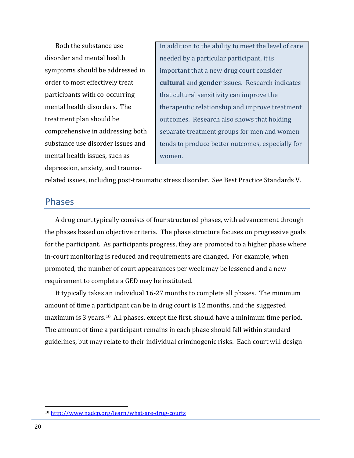Both the substance use disorder and mental health symptoms should be addressed in order to most effectively treat participants with co-occurring mental health disorders. The treatment plan should be comprehensive in addressing both substance use disorder issues and mental health issues, such as depression, anxiety, and traumaIn addition to the ability to meet the level of care needed by a particular participant, it is important that a new drug court consider **cultural** and **gender** issues. Research indicates that cultural sensitivity can improve the therapeutic relationship and improve treatment outcomes. Research also shows that holding separate treatment groups for men and women tends to produce better outcomes, especially for women.

related issues, including post-traumatic stress disorder. See Best Practice Standards V.

## <span id="page-21-0"></span>Phases

A drug court typically consists of four structured phases, with advancement through the phases based on objective criteria. The phase structure focuses on progressive goals for the participant. As participants progress, they are promoted to a higher phase where in-court monitoring is reduced and requirements are changed. For example, when promoted, the number of court appearances per week may be lessened and a new requirement to complete a GED may be instituted.

It typically takes an individual 16-27 months to complete all phases. The minimum amount of time a participant can be in drug court is 12 months, and the suggested maximum is 3 years. <sup>10</sup> All phases, except the first, should have a minimum time period. The amount of time a participant remains in each phase should fall within standard guidelines, but may relate to their individual criminogenic risks. Each court will design

 $\overline{a}$ 

<sup>10</sup> <http://www.nadcp.org/learn/what-are-drug-courts>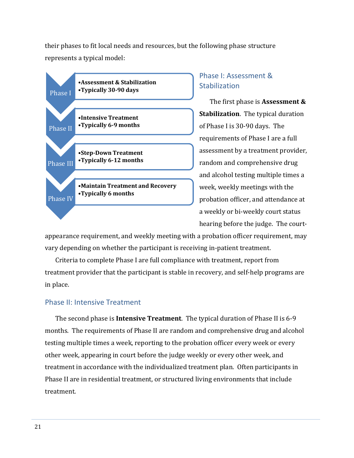their phases to fit local needs and resources, but the following phase structure represents a typical model:



## <span id="page-22-0"></span>Phase I: Assessment & **Stabilization**

The first phase is **Assessment & Stabilization**. The typical duration of Phase I is 30-90 days. The requirements of Phase I are a full assessment by a treatment provider, random and comprehensive drug and alcohol testing multiple times a week, weekly meetings with the probation officer, and attendance at a weekly or bi-weekly court status hearing before the judge. The court-

appearance requirement, and weekly meeting with a probation officer requirement, may vary depending on whether the participant is receiving in-patient treatment.

Criteria to complete Phase I are full compliance with treatment, report from treatment provider that the participant is stable in recovery, and self-help programs are in place.

### <span id="page-22-1"></span>Phase II: Intensive Treatment

The second phase is **Intensive Treatment**. The typical duration of Phase II is 6-9 months. The requirements of Phase II are random and comprehensive drug and alcohol testing multiple times a week, reporting to the probation officer every week or every other week, appearing in court before the judge weekly or every other week, and treatment in accordance with the individualized treatment plan. Often participants in Phase II are in residential treatment, or structured living environments that include treatment.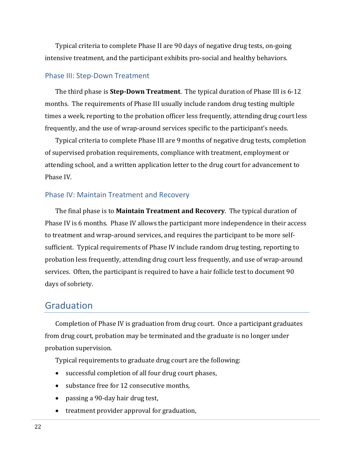Typical criteria to complete Phase II are 90 days of negative drug tests, on-going intensive treatment, and the participant exhibits pro-social and healthy behaviors.

#### <span id="page-23-0"></span>Phase III: Step-Down Treatment

The third phase is **Step-Down Treatment**. The typical duration of Phase III is 6-12 months. The requirements of Phase III usually include random drug testing multiple times a week, reporting to the probation officer less frequently, attending drug court less frequently, and the use of wrap-around services specific to the participant's needs.

Typical criteria to complete Phase III are 9 months of negative drug tests, completion of supervised probation requirements, compliance with treatment, employment or attending school, and a written application letter to the drug court for advancement to Phase IV.

#### <span id="page-23-1"></span>Phase IV: Maintain Treatment and Recovery

The final phase is to **Maintain Treatment and Recovery**. The typical duration of Phase IV is 6 months. Phase IV allows the participant more independence in their access to treatment and wrap-around services, and requires the participant to be more selfsufficient. Typical requirements of Phase IV include random drug testing, reporting to probation less frequently, attending drug court less frequently, and use of wrap-around services. Often, the participant is required to have a hair follicle test to document 90 days of sobriety.

## <span id="page-23-2"></span>Graduation

Completion of Phase IV is graduation from drug court. Once a participant graduates from drug court, probation may be terminated and the graduate is no longer under probation supervision.

Typical requirements to graduate drug court are the following:

- successful completion of all four drug court phases,
- substance free for 12 consecutive months,
- passing a 90-day hair drug test,
- treatment provider approval for graduation,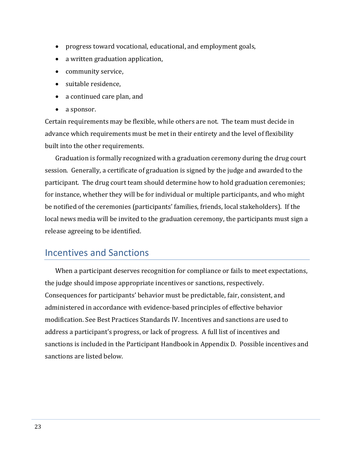- progress toward vocational, educational, and employment goals,
- a written graduation application,
- community service,
- suitable residence.
- a continued care plan, and
- a sponsor.

Certain requirements may be flexible, while others are not. The team must decide in advance which requirements must be met in their entirety and the level of flexibility built into the other requirements.

Graduation is formally recognized with a graduation ceremony during the drug court session. Generally, a certificate of graduation is signed by the judge and awarded to the participant. The drug court team should determine how to hold graduation ceremonies; for instance, whether they will be for individual or multiple participants, and who might be notified of the ceremonies (participants' families, friends, local stakeholders). If the local news media will be invited to the graduation ceremony, the participants must sign a release agreeing to be identified.

## <span id="page-24-0"></span>Incentives and Sanctions

When a participant deserves recognition for compliance or fails to meet expectations, the judge should impose appropriate incentives or sanctions, respectively. Consequences for participants' behavior must be predictable, fair, consistent, and administered in accordance with evidence-based principles of effective behavior modification. See Best Practices Standards IV. Incentives and sanctions are used to address a participant's progress, or lack of progress. A full list of incentives and sanctions is included in the Participant Handbook in Appendix D. Possible incentives and sanctions are listed below.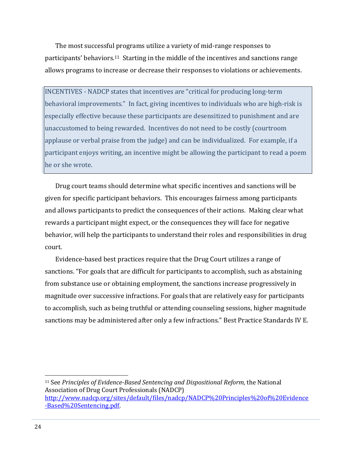The most successful programs utilize a variety of mid-range responses to participants' behaviors.11 Starting in the middle of the incentives and sanctions range allows programs to increase or decrease their responses to violations or achievements.

INCENTIVES - NADCP states that incentives are "critical for producing long-term behavioral improvements." In fact, giving incentives to individuals who are high-risk is especially effective because these participants are desensitized to punishment and are unaccustomed to being rewarded. Incentives do not need to be costly (courtroom applause or verbal praise from the judge) and can be individualized. For example, if a participant enjoys writing, an incentive might be allowing the participant to read a poem he or she wrote.

Drug court teams should determine what specific incentives and sanctions will be given for specific participant behaviors. This encourages fairness among participants and allows participants to predict the consequences of their actions. Making clear what rewards a participant might expect, or the consequences they will face for negative behavior, will help the participants to understand their roles and responsibilities in drug court.

Evidence-based best practices require that the Drug Court utilizes a range of sanctions. "For goals that are difficult for participants to accomplish, such as abstaining from substance use or obtaining employment, the sanctions increase progressively in magnitude over successive infractions. For goals that are relatively easy for participants to accomplish, such as being truthful or attending counseling sessions, higher magnitude sanctions may be administered after only a few infractions." Best Practice Standards IV E.

<sup>11</sup> See *Principles of Evidence-Based Sentencing and Dispositional Reform,* the National Association of Drug Court Professionals (NADCP) [http://www.nadcp.org/sites/default/files/nadcp/NADCP%20Principles%20of%20Evidence](http://www.nadcp.org/sites/default/files/nadcp/NADCP%20Principles%20of%20Evidence-Based%20Sentencing.pdf) [-Based%20Sentencing.pdf.](http://www.nadcp.org/sites/default/files/nadcp/NADCP%20Principles%20of%20Evidence-Based%20Sentencing.pdf)

l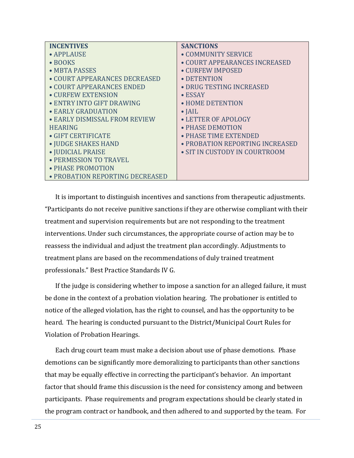| <b>INCENTIVES</b>               | <b>SANCTIONS</b>                |
|---------------------------------|---------------------------------|
| • APPLAUSE                      | • COMMUNITY SERVICE             |
| $\bullet$ BOOKS                 | • COURT APPEARANCES INCREASED   |
| • MBTA PASSES                   | • CURFEW IMPOSED                |
| • COURT APPEARANCES DECREASED   | • DETENTION                     |
| • COURT APPEARANCES ENDED       | • DRUG TESTING INCREASED        |
| • CURFEW EXTENSION              | $\bullet$ ESSAY                 |
| • ENTRY INTO GIFT DRAWING       | • HOME DETENTION                |
| • EARLY GRADUATION              | $\bullet$ JAIL                  |
| • EARLY DISMISSAL FROM REVIEW   | • LETTER OF APOLOGY             |
| <b>HEARING</b>                  | • PHASE DEMOTION                |
| • GIFT CERTIFICATE              | • PHASE TIME EXTENDED           |
| • JUDGE SHAKES HAND             | • PROBATION REPORTING INCREASED |
| • JUDICIAL PRAISE               | • SIT IN CUSTODY IN COURTROOM   |
| • PERMISSION TO TRAVEL          |                                 |
| • PHASE PROMOTION               |                                 |
| • PROBATION REPORTING DECREASED |                                 |

It is important to distinguish incentives and sanctions from therapeutic adjustments. "Participants do not receive punitive sanctions if they are otherwise compliant with their treatment and supervision requirements but are not responding to the treatment interventions. Under such circumstances, the appropriate course of action may be to reassess the individual and adjust the treatment plan accordingly. Adjustments to treatment plans are based on the recommendations of duly trained treatment professionals." Best Practice Standards IV G.

If the judge is considering whether to impose a sanction for an alleged failure, it must be done in the context of a probation violation hearing. The probationer is entitled to notice of the alleged violation, has the right to counsel, and has the opportunity to be heard. The hearing is conducted pursuant to the District/Municipal Court Rules for Violation of Probation Hearings.

Each drug court team must make a decision about use of phase demotions. Phase demotions can be significantly more demoralizing to participants than other sanctions that may be equally effective in correcting the participant's behavior. An important factor that should frame this discussion is the need for consistency among and between participants. Phase requirements and program expectations should be clearly stated in the program contract or handbook, and then adhered to and supported by the team. For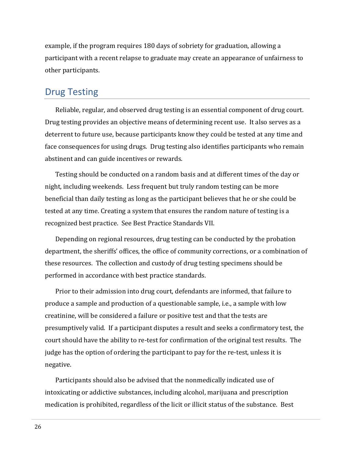example, if the program requires 180 days of sobriety for graduation, allowing a participant with a recent relapse to graduate may create an appearance of unfairness to other participants.

## <span id="page-27-0"></span>Drug Testing

Reliable, regular, and observed drug testing is an essential component of drug court. Drug testing provides an objective means of determining recent use. It also serves as a deterrent to future use, because participants know they could be tested at any time and face consequences for using drugs. Drug testing also identifies participants who remain abstinent and can guide incentives or rewards.

Testing should be conducted on a random basis and at different times of the day or night, including weekends. Less frequent but truly random testing can be more beneficial than daily testing as long as the participant believes that he or she could be tested at any time. Creating a system that ensures the random nature of testing is a recognized best practice. See Best Practice Standards VII.

Depending on regional resources, drug testing can be conducted by the probation department, the sheriffs' offices, the office of community corrections, or a combination of these resources. The collection and custody of drug testing specimens should be performed in accordance with best practice standards.

Prior to their admission into drug court, defendants are informed, that failure to produce a sample and production of a questionable sample, i.e., a sample with low creatinine, will be considered a failure or positive test and that the tests are presumptively valid. If a participant disputes a result and seeks a confirmatory test, the court should have the ability to re-test for confirmation of the original test results. The judge has the option of ordering the participant to pay for the re-test, unless it is negative.

Participants should also be advised that the nonmedically indicated use of intoxicating or addictive substances, including alcohol, marijuana and prescription medication is prohibited, regardless of the licit or illicit status of the substance. Best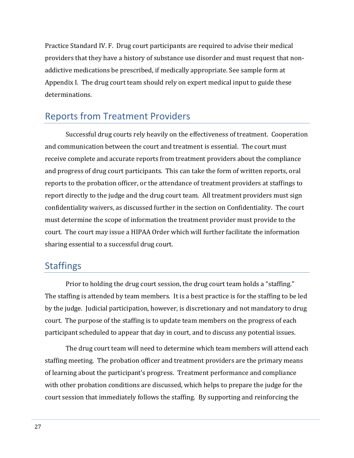Practice Standard IV. F. Drug court participants are required to advise their medical providers that they have a history of substance use disorder and must request that nonaddictive medications be prescribed, if medically appropriate. See sample form at Appendix I. The drug court team should rely on expert medical input to guide these determinations.

## <span id="page-28-0"></span>Reports from Treatment Providers

Successful drug courts rely heavily on the effectiveness of treatment. Cooperation and communication between the court and treatment is essential. The court must receive complete and accurate reports from treatment providers about the compliance and progress of drug court participants. This can take the form of written reports, oral reports to the probation officer, or the attendance of treatment providers at staffings to report directly to the judge and the drug court team. All treatment providers must sign confidentiality waivers, as discussed further in the section on Confidentiality. The court must determine the scope of information the treatment provider must provide to the court. The court may issue a HIPAA Order which will further facilitate the information sharing essential to a successful drug court.

## <span id="page-28-1"></span>**Staffings**

Prior to holding the drug court session, the drug court team holds a "staffing." The staffing is attended by team members. It is a best practice is for the staffing to be led by the judge. Judicial participation, however, is discretionary and not mandatory to drug court. The purpose of the staffing is to update team members on the progress of each participant scheduled to appear that day in court, and to discuss any potential issues.

The drug court team will need to determine which team members will attend each staffing meeting. The probation officer and treatment providers are the primary means of learning about the participant's progress. Treatment performance and compliance with other probation conditions are discussed, which helps to prepare the judge for the court session that immediately follows the staffing. By supporting and reinforcing the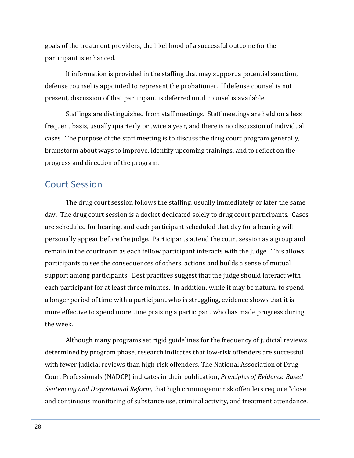goals of the treatment providers, the likelihood of a successful outcome for the participant is enhanced.

If information is provided in the staffing that may support a potential sanction, defense counsel is appointed to represent the probationer. If defense counsel is not present, discussion of that participant is deferred until counsel is available.

Staffings are distinguished from staff meetings. Staff meetings are held on a less frequent basis, usually quarterly or twice a year, and there is no discussion of individual cases. The purpose of the staff meeting is to discuss the drug court program generally, brainstorm about ways to improve, identify upcoming trainings, and to reflect on the progress and direction of the program.

## <span id="page-29-0"></span>Court Session

The drug court session follows the staffing, usually immediately or later the same day. The drug court session is a docket dedicated solely to drug court participants. Cases are scheduled for hearing, and each participant scheduled that day for a hearing will personally appear before the judge. Participants attend the court session as a group and remain in the courtroom as each fellow participant interacts with the judge. This allows participants to see the consequences of others' actions and builds a sense of mutual support among participants. Best practices suggest that the judge should interact with each participant for at least three minutes. In addition, while it may be natural to spend a longer period of time with a participant who is struggling, evidence shows that it is more effective to spend more time praising a participant who has made progress during the week.

Although many programs set rigid guidelines for the frequency of judicial reviews determined by program phase, research indicates that low-risk offenders are successful with fewer judicial reviews than high-risk offenders. The National Association of Drug Court Professionals (NADCP) indicates in their publication, *Principles of Evidence-Based Sentencing and Dispositional Reform,* that high criminogenic risk offenders require "close and continuous monitoring of substance use, criminal activity, and treatment attendance.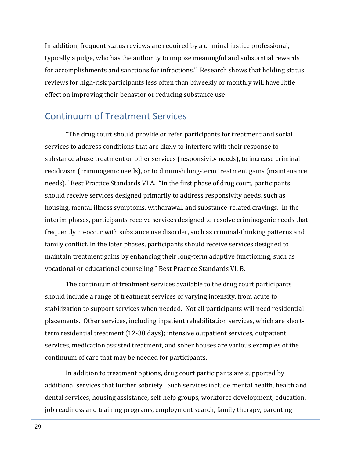In addition, frequent status reviews are required by a criminal justice professional, typically a judge, who has the authority to impose meaningful and substantial rewards for accomplishments and sanctions for infractions." Research shows that holding status reviews for high-risk participants less often than biweekly or monthly will have little effect on improving their behavior or reducing substance use.

## <span id="page-30-0"></span>Continuum of Treatment Services

"The drug court should provide or refer participants for treatment and social services to address conditions that are likely to interfere with their response to substance abuse treatment or other services (responsivity needs), to increase criminal recidivism (criminogenic needs), or to diminish long-term treatment gains (maintenance needs)." Best Practice Standards VI A. "In the first phase of drug court, participants should receive services designed primarily to address responsivity needs, such as housing, mental illness symptoms, withdrawal, and substance-related cravings. In the interim phases, participants receive services designed to resolve criminogenic needs that frequently co-occur with substance use disorder, such as criminal-thinking patterns and family conflict. In the later phases, participants should receive services designed to maintain treatment gains by enhancing their long-term adaptive functioning, such as vocational or educational counseling." Best Practice Standards VI. B.

The continuum of treatment services available to the drug court participants should include a range of treatment services of varying intensity, from acute to stabilization to support services when needed. Not all participants will need residential placements. Other services, including inpatient rehabilitation services, which are shortterm residential treatment (12-30 days); intensive outpatient services, outpatient services, medication assisted treatment, and sober houses are various examples of the continuum of care that may be needed for participants.

In addition to treatment options, drug court participants are supported by additional services that further sobriety. Such services include mental health, health and dental services, housing assistance, self-help groups, workforce development, education, job readiness and training programs, employment search, family therapy, parenting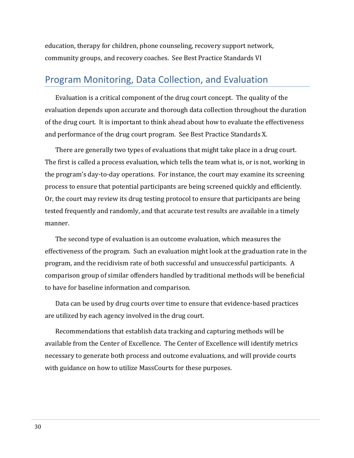education, therapy for children, phone counseling, recovery support network, community groups, and recovery coaches. See Best Practice Standards VI

## <span id="page-31-0"></span>Program Monitoring, Data Collection, and Evaluation

Evaluation is a critical component of the drug court concept. The quality of the evaluation depends upon accurate and thorough data collection throughout the duration of the drug court. It is important to think ahead about how to evaluate the effectiveness and performance of the drug court program. See Best Practice Standards X.

There are generally two types of evaluations that might take place in a drug court. The first is called a process evaluation, which tells the team what is, or is not, working in the program's day-to-day operations. For instance, the court may examine its screening process to ensure that potential participants are being screened quickly and efficiently. Or, the court may review its drug testing protocol to ensure that participants are being tested frequently and randomly, and that accurate test results are available in a timely manner.

The second type of evaluation is an outcome evaluation, which measures the effectiveness of the program. Such an evaluation might look at the graduation rate in the program, and the recidivism rate of both successful and unsuccessful participants. A comparison group of similar offenders handled by traditional methods will be beneficial to have for baseline information and comparison.

Data can be used by drug courts over time to ensure that evidence-based practices are utilized by each agency involved in the drug court.

Recommendations that establish data tracking and capturing methods will be available from the Center of Excellence. The Center of Excellence will identify metrics necessary to generate both process and outcome evaluations, and will provide courts with guidance on how to utilize MassCourts for these purposes.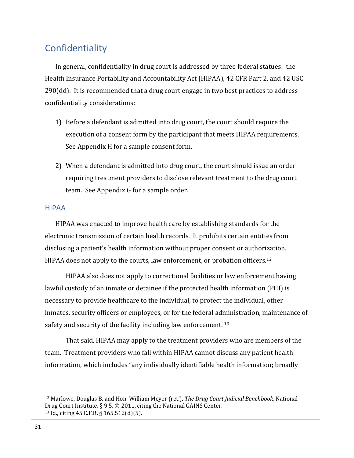## <span id="page-32-0"></span>Confidentiality

In general, confidentiality in drug court is addressed by three federal statues: the Health Insurance Portability and Accountability Act (HIPAA), 42 CFR Part 2, and 42 USC 290(dd). It is recommended that a drug court engage in two best practices to address confidentiality considerations:

- 1) Before a defendant is admitted into drug court, the court should require the execution of a consent form by the participant that meets HIPAA requirements. See Appendix H for a sample consent form.
- 2) When a defendant is admitted into drug court, the court should issue an order requiring treatment providers to disclose relevant treatment to the drug court team. See Appendix G for a sample order.

#### <span id="page-32-1"></span>HIPAA

HIPAA was enacted to improve health care by establishing standards for the electronic transmission of certain health records. It prohibits certain entities from disclosing a patient's health information without proper consent or authorization. HIPAA does not apply to the courts, law enforcement, or probation officers.<sup>12</sup>

HIPAA also does not apply to correctional facilities or law enforcement having lawful custody of an inmate or detainee if the protected health information (PHI) is necessary to provide healthcare to the individual, to protect the individual, other inmates, security officers or employees, or for the federal administration, maintenance of safety and security of the facility including law enforcement.<sup>13</sup>

That said, HIPAA may apply to the treatment providers who are members of the team. Treatment providers who fall within HIPAA cannot discuss any patient health information, which includes "any individually identifiable health information; broadly

l

<sup>12</sup> Marlowe, Douglas B. and Hon. William Meyer (ret.), *The Drug Court Judicial Benchbook*, National Drug Court Institute, § 9.5, © 2011, citing the National GAINS Center. <sup>13</sup> Id., citing 45 C.F.R. § 165.512(d)(5).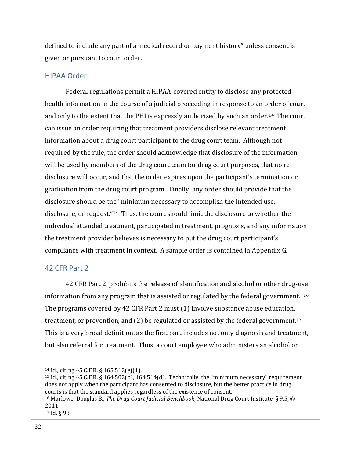defined to include any part of a medical record or payment history" unless consent is given or pursuant to court order.

### <span id="page-33-0"></span>HIPAA Order

Federal regulations permit a HIPAA-covered entity to disclose any protected health information in the course of a judicial proceeding in response to an order of court and only to the extent that the PHI is expressly authorized by such an order.14 The court can issue an order requiring that treatment providers disclose relevant treatment information about a drug court participant to the drug court team. Although not required by the rule, the order should acknowledge that disclosure of the information will be used by members of the drug court team for drug court purposes, that no redisclosure will occur, and that the order expires upon the participant's termination or graduation from the drug court program. Finally, any order should provide that the disclosure should be the "minimum necessary to accomplish the intended use, disclosure, or request."15 Thus, the court should limit the disclosure to whether the individual attended treatment, participated in treatment, prognosis, and any information the treatment provider believes is necessary to put the drug court participant's compliance with treatment in context. A sample order is contained in Appendix G.

### <span id="page-33-1"></span>42 CFR Part 2

42 CFR Part 2, prohibits the release of identification and alcohol or other drug-use information from any program that is assisted or regulated by the federal government.  $16$ The programs covered by 42 CFR Part 2 must (1) involve substance abuse education, treatment, or prevention, and (2) be regulated or assisted by the federal government.<sup>17</sup> This is a very broad definition, as the first part includes not only diagnosis and treatment, but also referral for treatment. Thus, a court employee who administers an alcohol or

<sup>15</sup> Id., citing 45 C.F.R. § 164.502(b), 164.514(d). Technically, the "minimum necessary" requirement does not apply when the participant has consented to disclosure, but the better practice in drug courts is that the standard applies regardless of the existence of consent. <sup>16</sup> Marlowe, Douglas B., *The Drug Court Judicial Benchbook*, National Drug Court Institute, § 9.5, ©

 $\overline{a}$ 

<sup>14</sup> Id., citing 45 C.F.R. § 165.512(e)(1).

<sup>2011.</sup>

<sup>17</sup> Id. § 9.6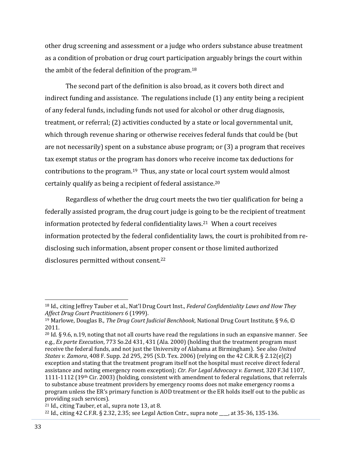other drug screening and assessment or a judge who orders substance abuse treatment as a condition of probation or drug court participation arguably brings the court within the ambit of the federal definition of the program.<sup>18</sup>

The second part of the definition is also broad, as it covers both direct and indirect funding and assistance. The regulations include (1) any entity being a recipient of any federal funds, including funds not used for alcohol or other drug diagnosis, treatment, or referral; (2) activities conducted by a state or local governmental unit, which through revenue sharing or otherwise receives federal funds that could be (but are not necessarily) spent on a substance abuse program; or (3) a program that receives tax exempt status or the program has donors who receive income tax deductions for contributions to the program.19 Thus, any state or local court system would almost certainly qualify as being a recipient of federal assistance.<sup>20</sup>

Regardless of whether the drug court meets the two tier qualification for being a federally assisted program, the drug court judge is going to be the recipient of treatment information protected by federal confidentiality laws.21 When a court receives information protected by the federal confidentiality laws, the court is prohibited from redisclosing such information, absent proper consent or those limited authorized disclosures permitted without consent.<sup>22</sup>

l

<sup>18</sup> Id., citing Jeffrey Tauber et al., Nat'l Drug Court Inst., *Federal Confidentiality Laws and How They Affect Drug Court Practitioners 6* (1999).

<sup>19</sup> Marlowe, Douglas B., *The Drug Court Judicial Benchbook*, National Drug Court Institute, § 9.6, © 2011.

<sup>&</sup>lt;sup>20</sup> Id. § 9.6, n.19, noting that not all courts have read the regulations in such an expansive manner. See e.g., *Ex parte Execution*, 773 So.2d 431, 431 (Ala. 2000) (holding that the treatment program must receive the federal funds, and not just the University of Alabama at Birmingham). See also *United States v. Zamora*, 408 F. Supp. 2d 295, 295 (S.D. Tex. 2006) (relying on the 42 C.R.R. § 2.12(e)(2) exception and stating that the treatment program itself not the hospital must receive direct federal assistance and noting emergency room exception); *Ctr. For Legal Advocacy v. Earnest*, 320 F.3d 1107, 1111-1112 (19<sup>th</sup> Cir. 2003) (holding, consistent with amendment to federal regulations, that referrals to substance abuse treatment providers by emergency rooms does not make emergency rooms a program unless the ER's primary function is AOD treatment or the ER holds itself out to the public as providing such services).

<sup>21</sup> Id., citing Tauber, et al., supra note 13, at 8.

<sup>22</sup> Id., citing 42 C.F.R. § 2.32, 2.35; see Legal Action Cntr., supra note \_\_\_\_, at 35-36, 135-136.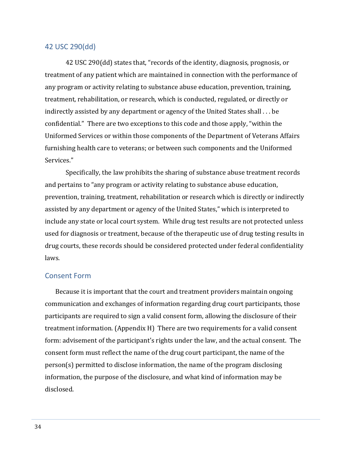#### <span id="page-35-0"></span>42 USC 290(dd)

42 USC 290(dd) states that, "records of the identity, diagnosis, prognosis, or treatment of any patient which are maintained in connection with the performance of any program or activity relating to substance abuse education, prevention, training, treatment, rehabilitation, or research, which is conducted, regulated, or directly or indirectly assisted by any department or agency of the United States shall . . . be confidential." There are two exceptions to this code and those apply, "within the Uniformed Services or within those components of the Department of Veterans Affairs furnishing health care to veterans; or between such components and the Uniformed Services."

Specifically, the law prohibits the sharing of substance abuse treatment records and pertains to "any program or activity relating to substance abuse education, prevention, training, treatment, rehabilitation or research which is directly or indirectly assisted by any department or agency of the United States," which is interpreted to include any state or local court system. While drug test results are not protected unless used for diagnosis or treatment, because of the therapeutic use of drug testing results in drug courts, these records should be considered protected under federal confidentiality laws.

#### <span id="page-35-1"></span>Consent Form

Because it is important that the court and treatment providers maintain ongoing communication and exchanges of information regarding drug court participants, those participants are required to sign a valid consent form, allowing the disclosure of their treatment information. (Appendix H) There are two requirements for a valid consent form: advisement of the participant's rights under the law, and the actual consent. The consent form must reflect the name of the drug court participant, the name of the person(s) permitted to disclose information, the name of the program disclosing information, the purpose of the disclosure, and what kind of information may be disclosed.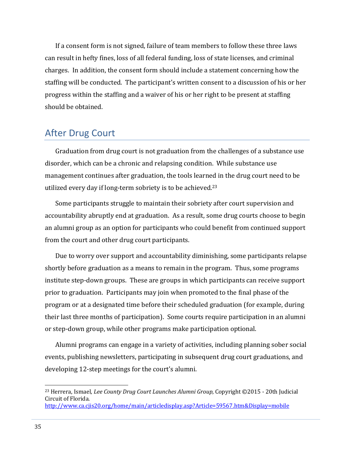If a consent form is not signed, failure of team members to follow these three laws can result in hefty fines, loss of all federal funding, loss of state licenses, and criminal charges. In addition, the consent form should include a statement concerning how the staffing will be conducted. The participant's written consent to a discussion of his or her progress within the staffing and a waiver of his or her right to be present at staffing should be obtained.

## <span id="page-36-0"></span>After Drug Court

Graduation from drug court is not graduation from the challenges of a substance use disorder, which can be a chronic and relapsing condition. While substance use management continues after graduation, the tools learned in the drug court need to be utilized every day if long-term sobriety is to be achieved.<sup>23</sup>

Some participants struggle to maintain their sobriety after court supervision and accountability abruptly end at graduation. As a result, some drug courts choose to begin an alumni group as an option for participants who could benefit from continued support from the court and other drug court participants.

Due to worry over support and accountability diminishing, some participants relapse shortly before graduation as a means to remain in the program. Thus, some programs institute step-down groups. These are groups in which participants can receive support prior to graduation. Participants may join when promoted to the final phase of the program or at a designated time before their scheduled graduation (for example, during their last three months of participation). Some courts require participation in an alumni or step-down group, while other programs make participation optional.

Alumni programs can engage in a variety of activities, including planning sober social events, publishing newsletters, participating in subsequent drug court graduations, and developing 12-step meetings for the court's alumni.

l

<sup>23</sup> Herrera, Ismael*, Lee County Drug Court Launches Alumni Group*, Copyright ©2015 - 20th Judicial Circuit of Florida. <http://www.ca.cjis20.org/home/main/articledisplay.asp?Article=59567.htm&Display=mobile>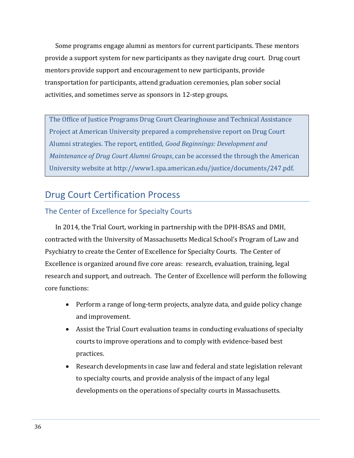Some programs engage alumni as mentors for current participants. These mentors provide a support system for new participants as they navigate drug court. Drug court mentors provide support and encouragement to new participants, provide transportation for participants, attend graduation ceremonies, plan sober social activities, and sometimes serve as sponsors in 12-step groups.

The Office of Justice Programs Drug Court Clearinghouse and Technical Assistance Project at American University prepared a comprehensive report on Drug Court Alumni strategies. The report, entitled, *Good Beginnings: Development and Maintenance of Drug Court Alumni Groups*, can be accessed the through the American University website at http://www1.spa.american.edu/justice/documents/247.pdf.

## <span id="page-37-0"></span>Drug Court Certification Process

## <span id="page-37-1"></span>The Center of Excellence for Specialty Courts

In 2014, the Trial Court, working in partnership with the DPH-BSAS and DMH, contracted with the University of Massachusetts Medical School's Program of Law and Psychiatry to create the Center of Excellence for Specialty Courts. The Center of Excellence is organized around five core areas: research, evaluation, training, legal research and support, and outreach. The Center of Excellence will perform the following core functions:

- Perform a range of long-term projects, analyze data, and guide policy change and improvement.
- Assist the Trial Court evaluation teams in conducting evaluations of specialty courts to improve operations and to comply with evidence-based best practices.
- Research developments in case law and federal and state legislation relevant to specialty courts, and provide analysis of the impact of any legal developments on the operations of specialty courts in Massachusetts.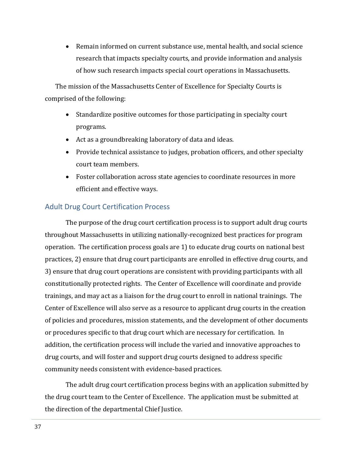Remain informed on current substance use, mental health, and social science research that impacts specialty courts, and provide information and analysis of how such research impacts special court operations in Massachusetts.

The mission of the Massachusetts Center of Excellence for Specialty Courts is comprised of the following:

- Standardize positive outcomes for those participating in specialty court programs.
- Act as a groundbreaking laboratory of data and ideas.
- Provide technical assistance to judges, probation officers, and other specialty court team members.
- Foster collaboration across state agencies to coordinate resources in more efficient and effective ways.

## <span id="page-38-0"></span>Adult Drug Court Certification Process

The purpose of the drug court certification process is to support adult drug courts throughout Massachusetts in utilizing nationally-recognized best practices for program operation. The certification process goals are 1) to educate drug courts on national best practices, 2) ensure that drug court participants are enrolled in effective drug courts, and 3) ensure that drug court operations are consistent with providing participants with all constitutionally protected rights. The Center of Excellence will coordinate and provide trainings, and may act as a liaison for the drug court to enroll in national trainings. The Center of Excellence will also serve as a resource to applicant drug courts in the creation of policies and procedures, mission statements, and the development of other documents or procedures specific to that drug court which are necessary for certification. In addition, the certification process will include the varied and innovative approaches to drug courts, and will foster and support drug courts designed to address specific community needs consistent with evidence-based practices.

The adult drug court certification process begins with an application submitted by the drug court team to the Center of Excellence. The application must be submitted at the direction of the departmental Chief Justice.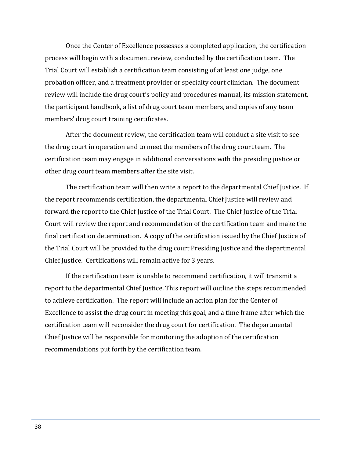Once the Center of Excellence possesses a completed application, the certification process will begin with a document review, conducted by the certification team. The Trial Court will establish a certification team consisting of at least one judge, one probation officer, and a treatment provider or specialty court clinician. The document review will include the drug court's policy and procedures manual, its mission statement, the participant handbook, a list of drug court team members, and copies of any team members' drug court training certificates.

After the document review, the certification team will conduct a site visit to see the drug court in operation and to meet the members of the drug court team. The certification team may engage in additional conversations with the presiding justice or other drug court team members after the site visit.

The certification team will then write a report to the departmental Chief Justice. If the report recommends certification, the departmental Chief Justice will review and forward the report to the Chief Justice of the Trial Court. The Chief Justice of the Trial Court will review the report and recommendation of the certification team and make the final certification determination. A copy of the certification issued by the Chief Justice of the Trial Court will be provided to the drug court Presiding Justice and the departmental Chief Justice. Certifications will remain active for 3 years.

If the certification team is unable to recommend certification, it will transmit a report to the departmental Chief Justice. This report will outline the steps recommended to achieve certification. The report will include an action plan for the Center of Excellence to assist the drug court in meeting this goal, and a time frame after which the certification team will reconsider the drug court for certification. The departmental Chief Justice will be responsible for monitoring the adoption of the certification recommendations put forth by the certification team.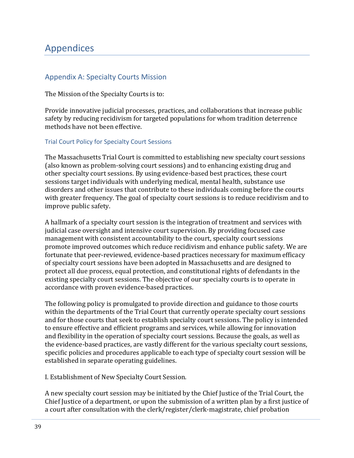## <span id="page-40-0"></span>Appendices

## <span id="page-40-1"></span>Appendix A: Specialty Courts Mission

The Mission of the Specialty Courts is to:

Provide innovative judicial processes, practices, and collaborations that increase public safety by reducing recidivism for targeted populations for whom tradition deterrence methods have not been effective.

#### Trial Court Policy for Specialty Court Sessions

The Massachusetts Trial Court is committed to establishing new specialty court sessions (also known as problem-solving court sessions) and to enhancing existing drug and other specialty court sessions. By using evidence-based best practices, these court sessions target individuals with underlying medical, mental health, substance use disorders and other issues that contribute to these individuals coming before the courts with greater frequency. The goal of specialty court sessions is to reduce recidivism and to improve public safety.

A hallmark of a specialty court session is the integration of treatment and services with judicial case oversight and intensive court supervision. By providing focused case management with consistent accountability to the court, specialty court sessions promote improved outcomes which reduce recidivism and enhance public safety. We are fortunate that peer-reviewed, evidence-based practices necessary for maximum efficacy of specialty court sessions have been adopted in Massachusetts and are designed to protect all due process, equal protection, and constitutional rights of defendants in the existing specialty court sessions. The objective of our specialty courts is to operate in accordance with proven evidence-based practices.

The following policy is promulgated to provide direction and guidance to those courts within the departments of the Trial Court that currently operate specialty court sessions and for those courts that seek to establish specialty court sessions. The policy is intended to ensure effective and efficient programs and services, while allowing for innovation and flexibility in the operation of specialty court sessions. Because the goals, as well as the evidence-based practices, are vastly different for the various specialty court sessions, specific policies and procedures applicable to each type of specialty court session will be established in separate operating guidelines.

I. Establishment of New Specialty Court Session.

A new specialty court session may be initiated by the Chief Justice of the Trial Court, the Chief Justice of a department, or upon the submission of a written plan by a first justice of a court after consultation with the clerk/register/clerk-magistrate, chief probation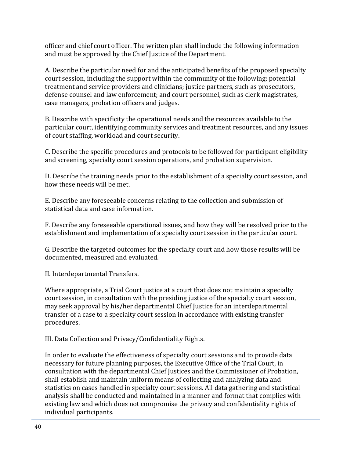officer and chief court officer. The written plan shall include the following information and must be approved by the Chief Justice of the Department.

A. Describe the particular need for and the anticipated benefits of the proposed specialty court session, including the support within the community of the following: potential treatment and service providers and clinicians; justice partners, such as prosecutors, defense counsel and law enforcement; and court personnel, such as clerk magistrates, case managers, probation officers and judges.

B. Describe with specificity the operational needs and the resources available to the particular court, identifying community services and treatment resources, and any issues of court staffing, workload and court security.

C. Describe the specific procedures and protocols to be followed for participant eligibility and screening, specialty court session operations, and probation supervision.

D. Describe the training needs prior to the establishment of a specialty court session, and how these needs will be met.

E. Describe any foreseeable concerns relating to the collection and submission of statistical data and case information.

F. Describe any foreseeable operational issues, and how they will be resolved prior to the establishment and implementation of a specialty court session in the particular court.

G. Describe the targeted outcomes for the specialty court and how those results will be documented, measured and evaluated.

II. Interdepartmental Transfers.

Where appropriate, a Trial Court justice at a court that does not maintain a specialty court session, in consultation with the presiding justice of the specialty court session, may seek approval by his/her departmental Chief Justice for an interdepartmental transfer of a case to a specialty court session in accordance with existing transfer procedures.

III. Data Collection and Privacy/Confidentiality Rights.

In order to evaluate the effectiveness of specialty court sessions and to provide data necessary for future planning purposes, the Executive Office of the Trial Court, in consultation with the departmental Chief Justices and the Commissioner of Probation, shall establish and maintain uniform means of collecting and analyzing data and statistics on cases handled in specialty court sessions. All data gathering and statistical analysis shall be conducted and maintained in a manner and format that complies with existing law and which does not compromise the privacy and confidentiality rights of individual participants.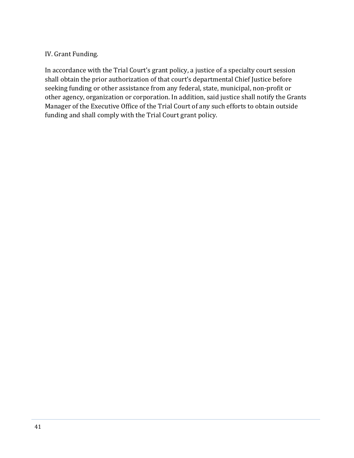## IV. Grant Funding.

In accordance with the Trial Court's grant policy, a justice of a specialty court session shall obtain the prior authorization of that court's departmental Chief Justice before seeking funding or other assistance from any federal, state, municipal, non-profit or other agency, organization or corporation. In addition, said justice shall notify the Grants Manager of the Executive Office of the Trial Court of any such efforts to obtain outside funding and shall comply with the Trial Court grant policy.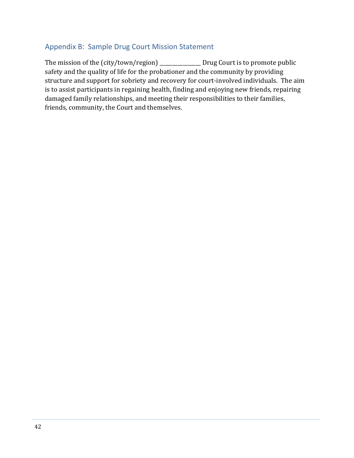## <span id="page-43-0"></span>Appendix B: Sample Drug Court Mission Statement

The mission of the (city/town/region) \_\_\_\_\_\_\_\_\_\_\_\_\_\_\_\_ Drug Court is to promote public safety and the quality of life for the probationer and the community by providing structure and support for sobriety and recovery for court-involved individuals. The aim is to assist participants in regaining health, finding and enjoying new friends, repairing damaged family relationships, and meeting their responsibilities to their families, friends, community, the Court and themselves.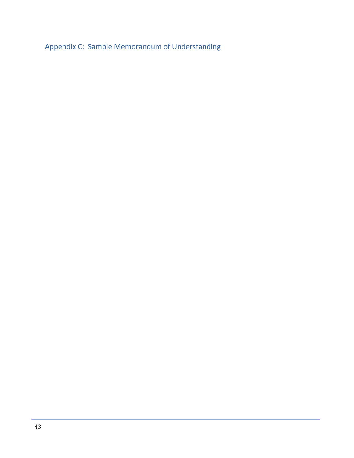<span id="page-44-0"></span>Appendix C: Sample Memorandum of Understanding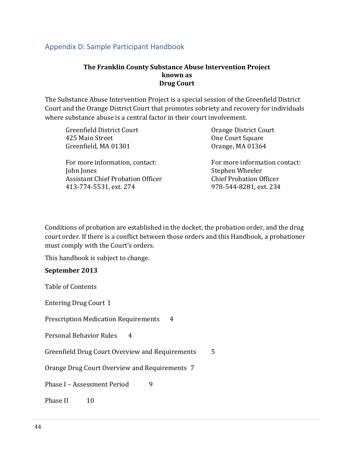## <span id="page-45-0"></span>Appendix D: Sample Participant Handbook

#### **The Franklin County Substance Abuse Intervention Project known as Drug Court**

The Substance Abuse Intervention Project is a special session of the Greenfield District Court and the Orange District Court that promotes sobriety and recovery for individuals where substance abuse is a central factor in their court involvement.

| <b>Greenfield District Court</b>         | Orange District Court          |
|------------------------------------------|--------------------------------|
| 425 Main Street                          | One Court Square               |
| Greenfield, MA 01301                     | Orange, MA 01364               |
| For more information, contact:           | For more information contact:  |
| John Jones                               | Stephen Wheeler                |
| <b>Assistant Chief Probation Officer</b> | <b>Chief Probation Officer</b> |
| 413-774-5531, ext. 274                   | 978-544-8281, ext. 234         |

Conditions of probation are established in the docket, the probation order, and the drug court order. If there is a conflict between those orders and this Handbook, a probationer must comply with the Court's orders.

This handbook is subject to change.

#### **September 2013**

Table of Contents

Entering Drug Court 1

Prescription Medication Requirements 4

Personal Behavior Rules 4

Greenfield Drug Court Overview and Requirements 5

Orange Drug Court Overview and Requirements 7

Phase I – Assessment Period 9

Phase II 10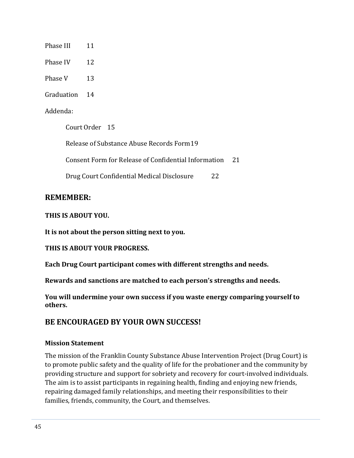Phase III 11

Phase IV 12

Phase V 13

Graduation 14

#### Addenda:

Court Order 15 Release of Substance Abuse Records Form19 Consent Form for Release of Confidential Information 21 Drug Court Confidential Medical Disclosure 22

## **REMEMBER:**

### **THIS IS ABOUT YOU.**

**It is not about the person sitting next to you.**

**THIS IS ABOUT YOUR PROGRESS.**

**Each Drug Court participant comes with different strengths and needs.**

**Rewards and sanctions are matched to each person's strengths and needs.**

**You will undermine your own success if you waste energy comparing yourself to others.**

## **BE ENCOURAGED BY YOUR OWN SUCCESS!**

### **Mission Statement**

The mission of the Franklin County Substance Abuse Intervention Project (Drug Court) is to promote public safety and the quality of life for the probationer and the community by providing structure and support for sobriety and recovery for court-involved individuals. The aim is to assist participants in regaining health, finding and enjoying new friends, repairing damaged family relationships, and meeting their responsibilities to their families, friends, community, the Court, and themselves.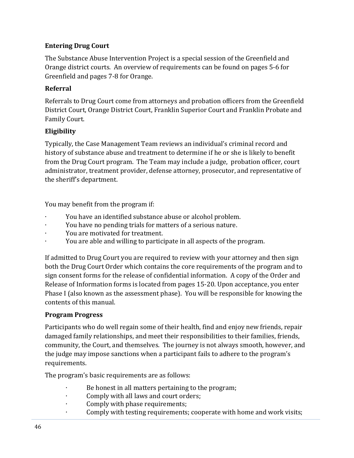## **Entering Drug Court**

The Substance Abuse Intervention Project is a special session of the Greenfield and Orange district courts. An overview of requirements can be found on pages 5-6 for Greenfield and pages 7-8 for Orange.

## **Referral**

Referrals to Drug Court come from attorneys and probation officers from the Greenfield District Court, Orange District Court, Franklin Superior Court and Franklin Probate and Family Court.

## **Eligibility**

Typically, the Case Management Team reviews an individual's criminal record and history of substance abuse and treatment to determine if he or she is likely to benefit from the Drug Court program. The Team may include a judge, probation officer, court administrator, treatment provider, defense attorney, prosecutor, and representative of the sheriff's department.

You may benefit from the program if:

- ∙ You have an identified substance abuse or alcohol problem.
- ∙ You have no pending trials for matters of a serious nature.
- ∙ You are motivated for treatment.
- ∙ You are able and willing to participate in all aspects of the program.

If admitted to Drug Court you are required to review with your attorney and then sign both the Drug Court Order which contains the core requirements of the program and to sign consent forms for the release of confidential information. A copy of the Order and Release of Information forms is located from pages 15-20. Upon acceptance, you enter Phase I (also known as the assessment phase). You will be responsible for knowing the contents of this manual.

## **Program Progress**

Participants who do well regain some of their health, find and enjoy new friends, repair damaged family relationships, and meet their responsibilities to their families, friends, community, the Court, and themselves. The journey is not always smooth, however, and the judge may impose sanctions when a participant fails to adhere to the program's requirements.

The program's basic requirements are as follows:

- ∙ Be honest in all matters pertaining to the program;
- ∙ Comply with all laws and court orders;
- ∙ Comply with phase requirements;
- ∙ Comply with testing requirements; cooperate with home and work visits;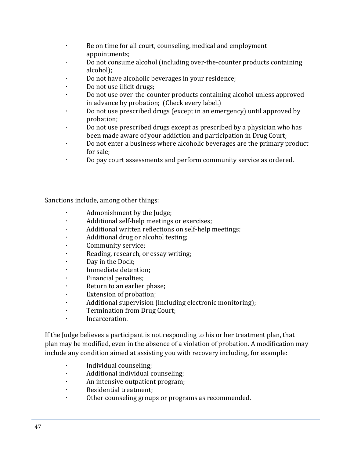- ∙ Be on time for all court, counseling, medical and employment appointments;
- ∙ Do not consume alcohol (including over-the-counter products containing alcohol);
- ∙ Do not have alcoholic beverages in your residence;
- ∙ Do not use illicit drugs;
- ∙ Do not use over-the-counter products containing alcohol unless approved in advance by probation; (Check every label.)
- ∙ Do not use prescribed drugs (except in an emergency) until approved by probation;
- ∙ Do not use prescribed drugs except as prescribed by a physician who has been made aware of your addiction and participation in Drug Court;
- ∙ Do not enter a business where alcoholic beverages are the primary product for sale;
- ∙ Do pay court assessments and perform community service as ordered.

Sanctions include, among other things:

- ∙ Admonishment by the Judge;
- ∙ Additional self-help meetings or exercises;
- ∙ Additional written reflections on self-help meetings;
- ∙ Additional drug or alcohol testing;
- ∙ Community service;
- ∙ Reading, research, or essay writing;
- ∙ Day in the Dock;
- ∙ Immediate detention;
- ∙ Financial penalties;
- ∙ Return to an earlier phase;
- ∙ Extension of probation;
- ∙ Additional supervision (including electronic monitoring);
- ∙ Termination from Drug Court;
- ∙ Incarceration.

If the Judge believes a participant is not responding to his or her treatment plan, that plan may be modified, even in the absence of a violation of probation. A modification may include any condition aimed at assisting you with recovery including, for example:

- ∙ Individual counseling;
- ∙ Additional individual counseling;
- ∙ An intensive outpatient program;
- ∙ Residential treatment;
- ∙ Other counseling groups or programs as recommended.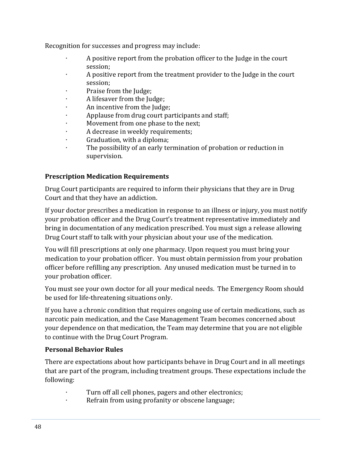Recognition for successes and progress may include:

- ∙ A positive report from the probation officer to the Judge in the court session;
- ∙ A positive report from the treatment provider to the Judge in the court session;
- ∙ Praise from the Judge;
- ∙ A lifesaver from the Judge;
- ∙ An incentive from the Judge;
- ∙ Applause from drug court participants and staff;
- ∙ Movement from one phase to the next;
- ∙ A decrease in weekly requirements;
- ∙ Graduation, with a diploma;
- The possibility of an early termination of probation or reduction in supervision.

### **Prescription Medication Requirements**

Drug Court participants are required to inform their physicians that they are in Drug Court and that they have an addiction.

If your doctor prescribes a medication in response to an illness or injury, you must notify your probation officer and the Drug Court's treatment representative immediately and bring in documentation of any medication prescribed. You must sign a release allowing Drug Court staff to talk with your physician about your use of the medication.

You will fill prescriptions at only one pharmacy. Upon request you must bring your medication to your probation officer. You must obtain permission from your probation officer before refilling any prescription. Any unused medication must be turned in to your probation officer.

You must see your own doctor for all your medical needs. The Emergency Room should be used for life-threatening situations only.

If you have a chronic condition that requires ongoing use of certain medications, such as narcotic pain medication, and the Case Management Team becomes concerned about your dependence on that medication, the Team may determine that you are not eligible to continue with the Drug Court Program.

### **Personal Behavior Rules**

There are expectations about how participants behave in Drug Court and in all meetings that are part of the program, including treatment groups. These expectations include the following:

- ∙ Turn off all cell phones, pagers and other electronics;
- ∙ Refrain from using profanity or obscene language;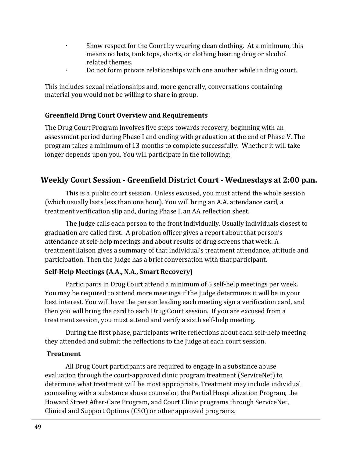- Show respect for the Court by wearing clean clothing. At a minimum, this means no hats, tank tops, shorts, or clothing bearing drug or alcohol related themes.
- ∙ Do not form private relationships with one another while in drug court.

This includes sexual relationships and, more generally, conversations containing material you would not be willing to share in group.

#### **Greenfield Drug Court Overview and Requirements**

The Drug Court Program involves five steps towards recovery, beginning with an assessment period during Phase I and ending with graduation at the end of Phase V. The program takes a minimum of 13 months to complete successfully. Whether it will take longer depends upon you. You will participate in the following:

## **Weekly Court Session - Greenfield District Court - Wednesdays at 2:00 p.m.**

This is a public court session. Unless excused, you must attend the whole session (which usually lasts less than one hour). You will bring an A.A. attendance card, a treatment verification slip and, during Phase I, an AA reflection sheet.

The Judge calls each person to the front individually. Usually individuals closest to graduation are called first. A probation officer gives a report about that person's attendance at self-help meetings and about results of drug screens that week. A treatment liaison gives a summary of that individual's treatment attendance, attitude and participation. Then the Judge has a brief conversation with that participant.

### **Self-Help Meetings (A.A., N.A., Smart Recovery)**

Participants in Drug Court attend a minimum of 5 self-help meetings per week. You may be required to attend more meetings if the Judge determines it will be in your best interest. You will have the person leading each meeting sign a verification card, and then you will bring the card to each Drug Court session. If you are excused from a treatment session, you must attend and verify a sixth self-help meeting.

During the first phase, participants write reflections about each self-help meeting they attended and submit the reflections to the Judge at each court session.

#### **Treatment**

All Drug Court participants are required to engage in a substance abuse evaluation through the court-approved clinic program treatment (ServiceNet) to determine what treatment will be most appropriate. Treatment may include individual counseling with a substance abuse counselor, the Partial Hospitalization Program, the Howard Street After-Care Program, and Court Clinic programs through ServiceNet, Clinical and Support Options (CSO) or other approved programs.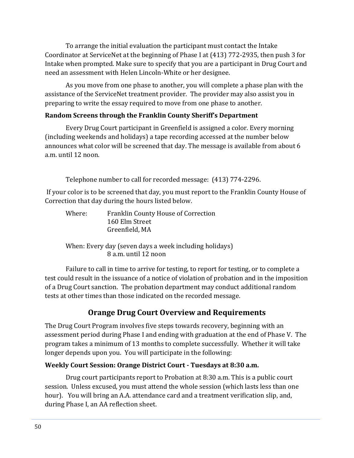To arrange the initial evaluation the participant must contact the Intake Coordinator at ServiceNet at the beginning of Phase I at (413) 772-2935, then push 3 for Intake when prompted. Make sure to specify that you are a participant in Drug Court and need an assessment with Helen Lincoln-White or her designee.

As you move from one phase to another, you will complete a phase plan with the assistance of the ServiceNet treatment provider. The provider may also assist you in preparing to write the essay required to move from one phase to another.

### **Random Screens through the Franklin County Sheriff's Department**

Every Drug Court participant in Greenfield is assigned a color. Every morning (including weekends and holidays) a tape recording accessed at the number below announces what color will be screened that day. The message is available from about 6 a.m. until 12 noon.

Telephone number to call for recorded message: (413) 774-2296.

If your color is to be screened that day, you must report to the Franklin County House of Correction that day during the hours listed below.

| Where: | <b>Franklin County House of Correction</b> |
|--------|--------------------------------------------|
|        | 160 Elm Street                             |
|        | Greenfield, MA                             |

When: Every day (seven days a week including holidays) 8 a.m. until 12 noon

Failure to call in time to arrive for testing, to report for testing, or to complete a test could result in the issuance of a notice of violation of probation and in the imposition of a Drug Court sanction. The probation department may conduct additional random tests at other times than those indicated on the recorded message.

## **Orange Drug Court Overview and Requirements**

The Drug Court Program involves five steps towards recovery, beginning with an assessment period during Phase I and ending with graduation at the end of Phase V. The program takes a minimum of 13 months to complete successfully. Whether it will take longer depends upon you. You will participate in the following:

### **Weekly Court Session: Orange District Court - Tuesdays at 8:30 a.m.**

Drug court participants report to Probation at 8:30 a.m. This is a public court session. Unless excused, you must attend the whole session (which lasts less than one hour). You will bring an A.A. attendance card and a treatment verification slip, and, during Phase I, an AA reflection sheet.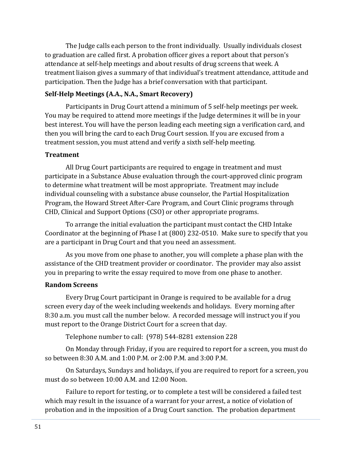The Judge calls each person to the front individually. Usually individuals closest to graduation are called first. A probation officer gives a report about that person's attendance at self-help meetings and about results of drug screens that week. A treatment liaison gives a summary of that individual's treatment attendance, attitude and participation. Then the Judge has a brief conversation with that participant.

### **Self-Help Meetings (A.A., N.A., Smart Recovery)**

Participants in Drug Court attend a minimum of 5 self-help meetings per week. You may be required to attend more meetings if the Judge determines it will be in your best interest. You will have the person leading each meeting sign a verification card, and then you will bring the card to each Drug Court session. If you are excused from a treatment session, you must attend and verify a sixth self-help meeting.

#### **Treatment**

All Drug Court participants are required to engage in treatment and must participate in a Substance Abuse evaluation through the court-approved clinic program to determine what treatment will be most appropriate. Treatment may include individual counseling with a substance abuse counselor, the Partial Hospitalization Program, the Howard Street After-Care Program, and Court Clinic programs through CHD, Clinical and Support Options (CSO) or other appropriate programs.

To arrange the initial evaluation the participant must contact the CHD Intake Coordinator at the beginning of Phase I at (800) 232-0510. Make sure to specify that you are a participant in Drug Court and that you need an assessment.

As you move from one phase to another, you will complete a phase plan with the assistance of the CHD treatment provider or coordinator. The provider may also assist you in preparing to write the essay required to move from one phase to another.

#### **Random Screens**

Every Drug Court participant in Orange is required to be available for a drug screen every day of the week including weekends and holidays. Every morning after 8:30 a.m. you must call the number below. A recorded message will instruct you if you must report to the Orange District Court for a screen that day.

Telephone number to call: (978) 544-8281 extension 228

On Monday through Friday, if you are required to report for a screen, you must do so between 8:30 A.M. and 1:00 P.M. or 2:00 P.M. and 3:00 P.M.

On Saturdays, Sundays and holidays, if you are required to report for a screen, you must do so between 10:00 A.M. and 12:00 Noon.

Failure to report for testing, or to complete a test will be considered a failed test which may result in the issuance of a warrant for your arrest, a notice of violation of probation and in the imposition of a Drug Court sanction. The probation department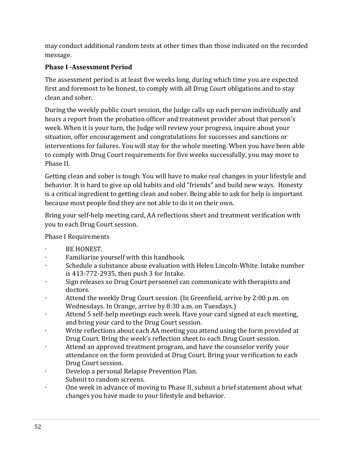may conduct additional random tests at other times than those indicated on the recorded message.

## **Phase I -Assessment Period**

The assessment period is at least five weeks long, during which time you are expected first and foremost to be honest, to comply with all Drug Court obligations and to stay clean and sober.

During the weekly public court session, the Judge calls up each person individually and hears a report from the probation officer and treatment provider about that person's week. When it is your turn, the Judge will review your progress, inquire about your situation, offer encouragement and congratulations for successes and sanctions or interventions for failures. You will stay for the whole meeting. When you have been able to comply with Drug Court requirements for five weeks successfully, you may move to Phase II.

Getting clean and sober is tough. You will have to make real changes in your lifestyle and behavior. It is hard to give up old habits and old "friends" and build new ways. Honesty is a critical ingredient to getting clean and sober. Being able to ask for help is important because most people find they are not able to do it on their own.

Bring your self-help meeting card, AA reflections sheet and treatment verification with you to each Drug Court session.

Phase I Requirements

- ∙ BE HONEST.
- ∙ Familiarize yourself with this handbook.
- ∙ Schedule a substance abuse evaluation with Helen Lincoln-White. Intake number is 413-772-2935, then push 3 for Intake.
- ∙ Sign releases so Drug Court personnel can communicate with therapists and doctors.
- ∙ Attend the weekly Drug Court session. (In Greenfield, arrive by 2:00 p.m. on Wednesdays. In Orange, arrive by 8:30 a.m. on Tuesdays.)
- ∙ Attend 5 self-help meetings each week. Have your card signed at each meeting, and bring your card to the Drug Court session.
- Write reflections about each AA meeting you attend using the form provided at Drug Court. Bring the week's reflection sheet to each Drug Court session.
- ∙ Attend an approved treatment program, and have the counselor verify your attendance on the form provided at Drug Court. Bring your verification to each Drug Court session.
- ∙ Develop a personal Relapse Prevention Plan. Submit to random screens.
- ∙ One week in advance of moving to Phase II, submit a brief statement about what changes you have made to your lifestyle and behavior.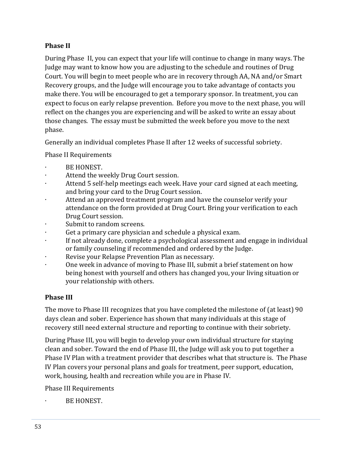## **Phase II**

During Phase II, you can expect that your life will continue to change in many ways. The Judge may want to know how you are adjusting to the schedule and routines of Drug Court. You will begin to meet people who are in recovery through AA, NA and/or Smart Recovery groups, and the Judge will encourage you to take advantage of contacts you make there. You will be encouraged to get a temporary sponsor. In treatment, you can expect to focus on early relapse prevention. Before you move to the next phase, you will reflect on the changes you are experiencing and will be asked to write an essay about those changes. The essay must be submitted the week before you move to the next phase.

Generally an individual completes Phase II after 12 weeks of successful sobriety.

Phase II Requirements

- ∙ BE HONEST.
- ∙ Attend the weekly Drug Court session.
- ∙ Attend 5 self-help meetings each week. Have your card signed at each meeting, and bring your card to the Drug Court session.
- ∙ Attend an approved treatment program and have the counselor verify your attendance on the form provided at Drug Court. Bring your verification to each Drug Court session.
- ∙ Submit to random screens.
- ∙ Get a primary care physician and schedule a physical exam.
- ∙ If not already done, complete a psychological assessment and engage in individual or family counseling if recommended and ordered by the Judge.
- ∙ Revise your Relapse Prevention Plan as necessary.
- ∙ One week in advance of moving to Phase III, submit a brief statement on how being honest with yourself and others has changed you, your living situation or your relationship with others.

## **Phase III**

The move to Phase III recognizes that you have completed the milestone of (at least) 90 days clean and sober. Experience has shown that many individuals at this stage of recovery still need external structure and reporting to continue with their sobriety.

During Phase III, you will begin to develop your own individual structure for staying clean and sober. Toward the end of Phase III, the Judge will ask you to put together a Phase IV Plan with a treatment provider that describes what that structure is. The Phase IV Plan covers your personal plans and goals for treatment, peer support, education, work, housing, health and recreation while you are in Phase IV.

Phase III Requirements

∙ BE HONEST.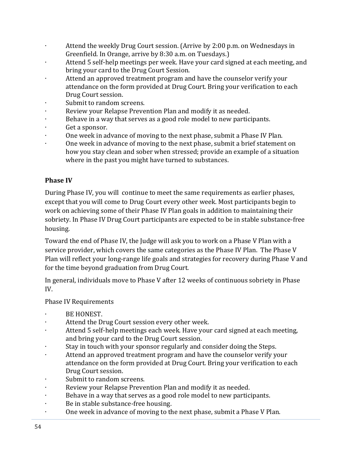- ∙ Attend the weekly Drug Court session. (Arrive by 2:00 p.m. on Wednesdays in Greenfield. In Orange, arrive by 8:30 a.m. on Tuesdays.)
- ∙ Attend 5 self-help meetings per week. Have your card signed at each meeting, and bring your card to the Drug Court Session.
- ∙ Attend an approved treatment program and have the counselor verify your attendance on the form provided at Drug Court. Bring your verification to each Drug Court session.
- ∙ Submit to random screens.
- ∙ Review your Relapse Prevention Plan and modify it as needed.
- ∙ Behave in a way that serves as a good role model to new participants.
- ∙ Get a sponsor.
- ∙ One week in advance of moving to the next phase, submit a Phase IV Plan.
- ∙ One week in advance of moving to the next phase, submit a brief statement on how you stay clean and sober when stressed; provide an example of a situation where in the past you might have turned to substances.

## **Phase IV**

During Phase IV, you will continue to meet the same requirements as earlier phases, except that you will come to Drug Court every other week. Most participants begin to work on achieving some of their Phase IV Plan goals in addition to maintaining their sobriety. In Phase IV Drug Court participants are expected to be in stable substance-free housing.

Toward the end of Phase IV, the Judge will ask you to work on a Phase V Plan with a service provider, which covers the same categories as the Phase IV Plan. The Phase V Plan will reflect your long-range life goals and strategies for recovery during Phase V and for the time beyond graduation from Drug Court.

In general, individuals move to Phase V after 12 weeks of continuous sobriety in Phase IV.

### Phase IV Requirements

- ∙ BE HONEST.
- ∙ Attend the Drug Court session every other week.
- ∙ Attend 5 self-help meetings each week. Have your card signed at each meeting, and bring your card to the Drug Court session.
- ∙ Stay in touch with your sponsor regularly and consider doing the Steps.
- ∙ Attend an approved treatment program and have the counselor verify your attendance on the form provided at Drug Court. Bring your verification to each Drug Court session.
- ∙ Submit to random screens.
- ∙ Review your Relapse Prevention Plan and modify it as needed.
- ∙ Behave in a way that serves as a good role model to new participants.
- ∙ Be in stable substance-free housing.
- ∙ One week in advance of moving to the next phase, submit a Phase V Plan.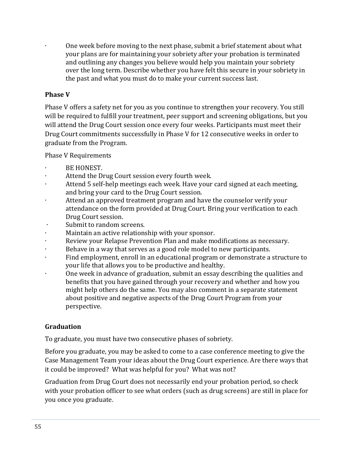∙ One week before moving to the next phase, submit a brief statement about what your plans are for maintaining your sobriety after your probation is terminated and outlining any changes you believe would help you maintain your sobriety over the long term. Describe whether you have felt this secure in your sobriety in the past and what you must do to make your current success last.

## **Phase V**

Phase V offers a safety net for you as you continue to strengthen your recovery. You still will be required to fulfill your treatment, peer support and screening obligations, but you will attend the Drug Court session once every four weeks. Participants must meet their Drug Court commitments successfully in Phase V for 12 consecutive weeks in order to graduate from the Program.

Phase V Requirements

- ∙ BE HONEST.
- ∙ Attend the Drug Court session every fourth week.
- ∙ Attend 5 self-help meetings each week. Have your card signed at each meeting, and bring your card to the Drug Court session.
- ∙ Attend an approved treatment program and have the counselor verify your attendance on the form provided at Drug Court. Bring your verification to each Drug Court session.
- ∙ Submit to random screens.
- ∙ Maintain an active relationship with your sponsor.
- ∙ Review your Relapse Prevention Plan and make modifications as necessary.
- ∙ Behave in a way that serves as a good role model to new participants.
- ∙ Find employment, enroll in an educational program or demonstrate a structure to your life that allows you to be productive and healthy.
- ∙ One week in advance of graduation, submit an essay describing the qualities and benefits that you have gained through your recovery and whether and how you might help others do the same. You may also comment in a separate statement about positive and negative aspects of the Drug Court Program from your perspective.

### **Graduation**

To graduate, you must have two consecutive phases of sobriety.

Before you graduate, you may be asked to come to a case conference meeting to give the Case Management Team your ideas about the Drug Court experience. Are there ways that it could be improved? What was helpful for you? What was not?

Graduation from Drug Court does not necessarily end your probation period, so check with your probation officer to see what orders (such as drug screens) are still in place for you once you graduate.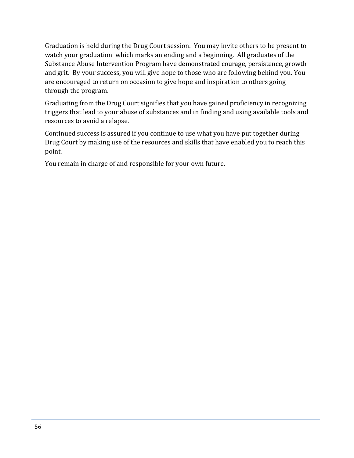Graduation is held during the Drug Court session. You may invite others to be present to watch your graduation which marks an ending and a beginning. All graduates of the Substance Abuse Intervention Program have demonstrated courage, persistence, growth and grit. By your success, you will give hope to those who are following behind you. You are encouraged to return on occasion to give hope and inspiration to others going through the program.

Graduating from the Drug Court signifies that you have gained proficiency in recognizing triggers that lead to your abuse of substances and in finding and using available tools and resources to avoid a relapse.

Continued success is assured if you continue to use what you have put together during Drug Court by making use of the resources and skills that have enabled you to reach this point.

You remain in charge of and responsible for your own future.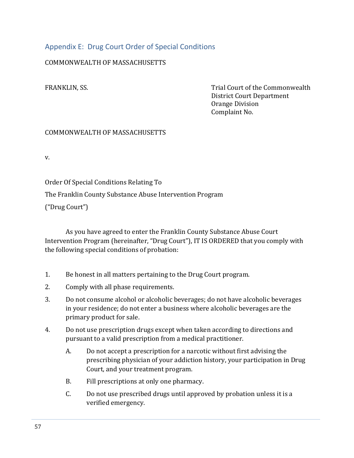## <span id="page-58-0"></span>Appendix E: Drug Court Order of Special Conditions

### COMMONWEALTH OF MASSACHUSETTS

FRANKLIN, SS. Trial Court of the Commonwealth District Court Department Orange Division Complaint No.

#### COMMONWEALTH OF MASSACHUSETTS

v.

Order Of Special Conditions Relating To

The Franklin County Substance Abuse Intervention Program

("Drug Court")

As you have agreed to enter the Franklin County Substance Abuse Court Intervention Program (hereinafter, "Drug Court"), IT IS ORDERED that you comply with the following special conditions of probation:

- 1. Be honest in all matters pertaining to the Drug Court program.
- 2. Comply with all phase requirements.
- 3. Do not consume alcohol or alcoholic beverages; do not have alcoholic beverages in your residence; do not enter a business where alcoholic beverages are the primary product for sale.
- 4. Do not use prescription drugs except when taken according to directions and pursuant to a valid prescription from a medical practitioner.
	- A. Do not accept a prescription for a narcotic without first advising the prescribing physician of your addiction history, your participation in Drug Court, and your treatment program.
	- B. Fill prescriptions at only one pharmacy.
	- C. Do not use prescribed drugs until approved by probation unless it is a verified emergency.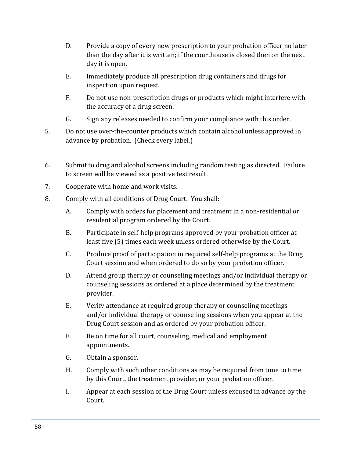- D. Provide a copy of every new prescription to your probation officer no later than the day after it is written; if the courthouse is closed then on the next day it is open.
- E. Immediately produce all prescription drug containers and drugs for inspection upon request.
- F. Do not use non-prescription drugs or products which might interfere with the accuracy of a drug screen.
- G. Sign any releases needed to confirm your compliance with this order.
- 5. Do not use over-the-counter products which contain alcohol unless approved in advance by probation. (Check every label.)
- 6. Submit to drug and alcohol screens including random testing as directed. Failure to screen will be viewed as a positive test result.
- 7. Cooperate with home and work visits.
- 8. Comply with all conditions of Drug Court. You shall:
	- A. Comply with orders for placement and treatment in a non-residential or residential program ordered by the Court.
	- B. Participate in self-help programs approved by your probation officer at least five (5) times each week unless ordered otherwise by the Court.
	- C. Produce proof of participation in required self-help programs at the Drug Court session and when ordered to do so by your probation officer.
	- D. Attend group therapy or counseling meetings and/or individual therapy or counseling sessions as ordered at a place determined by the treatment provider.
	- E. Verify attendance at required group therapy or counseling meetings and/or individual therapy or counseling sessions when you appear at the Drug Court session and as ordered by your probation officer.
	- F. Be on time for all court, counseling, medical and employment appointments.
	- G. Obtain a sponsor.
	- H. Comply with such other conditions as may be required from time to time by this Court, the treatment provider, or your probation officer.
	- I. Appear at each session of the Drug Court unless excused in advance by the Court.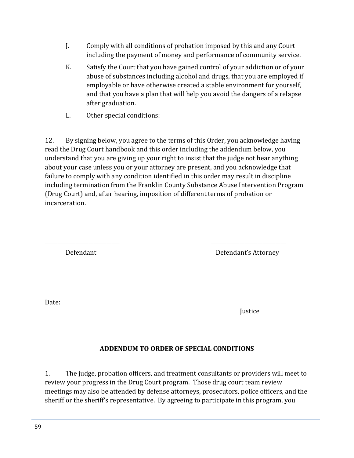- J. Comply with all conditions of probation imposed by this and any Court including the payment of money and performance of community service.
- K. Satisfy the Court that you have gained control of your addiction or of your abuse of substances including alcohol and drugs, that you are employed if employable or have otherwise created a stable environment for yourself, and that you have a plan that will help you avoid the dangers of a relapse after graduation.
- L. Other special conditions:

12. By signing below, you agree to the terms of this Order, you acknowledge having read the Drug Court handbook and this order including the addendum below, you understand that you are giving up your right to insist that the judge not hear anything about your case unless you or your attorney are present, and you acknowledge that failure to comply with any condition identified in this order may result in discipline including termination from the Franklin County Substance Abuse Intervention Program (Drug Court) and, after hearing, imposition of different terms of probation or incarceration.

| Defendant | Defendant's Attorney |
|-----------|----------------------|
|           |                      |
|           |                      |
|           |                      |
| Date:     |                      |

Justice

## **ADDENDUM TO ORDER OF SPECIAL CONDITIONS**

1. The judge, probation officers, and treatment consultants or providers will meet to review your progress in the Drug Court program. Those drug court team review meetings may also be attended by defense attorneys, prosecutors, police officers, and the sheriff or the sheriff's representative. By agreeing to participate in this program, you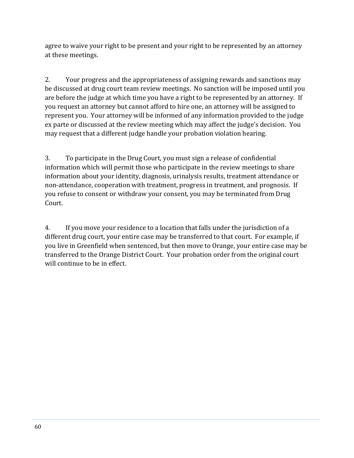agree to waive your right to be present and your right to be represented by an attorney at these meetings.

2. Your progress and the appropriateness of assigning rewards and sanctions may be discussed at drug court team review meetings. No sanction will be imposed until you are before the judge at which time you have a right to be represented by an attorney. If you request an attorney but cannot afford to hire one, an attorney will be assigned to represent you. Your attorney will be informed of any information provided to the judge ex parte or discussed at the review meeting which may affect the judge's decision. You may request that a different judge handle your probation violation hearing.

3. To participate in the Drug Court, you must sign a release of confidential information which will permit those who participate in the review meetings to share information about your identity, diagnosis, urinalysis results, treatment attendance or non-attendance, cooperation with treatment, progress in treatment, and prognosis. If you refuse to consent or withdraw your consent, you may be terminated from Drug Court.

4. If you move your residence to a location that falls under the jurisdiction of a different drug court, your entire case may be transferred to that court. For example, if you live in Greenfield when sentenced, but then move to Orange, your entire case may be transferred to the Orange District Court. Your probation order from the original court will continue to be in effect.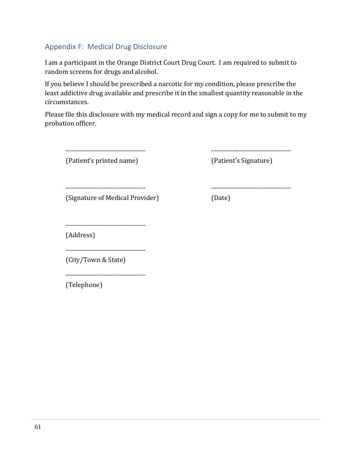## <span id="page-62-0"></span>Appendix F: Medical Drug Disclosure

I am a participant in the Orange District Court Drug Court. I am required to submit to random screens for drugs and alcohol.

If you believe I should be prescribed a narcotic for my condition, please prescribe the least addictive drug available and prescribe it in the smallest quantity reasonable in the circumstances.

Please file this disclosure with my medical record and sign a copy for me to submit to my probation officer.

\_\_\_\_\_\_\_\_\_\_\_\_\_\_\_\_\_\_\_\_\_\_\_\_\_\_\_\_\_\_\_ \_\_\_\_\_\_\_\_\_\_\_\_\_\_\_\_\_\_\_\_\_\_\_\_\_\_\_\_\_\_\_

\_\_\_\_\_\_\_\_\_\_\_\_\_\_\_\_\_\_\_\_\_\_\_\_\_\_\_\_\_\_\_ \_\_\_\_\_\_\_\_\_\_\_\_\_\_\_\_\_\_\_\_\_\_\_\_\_\_\_\_\_\_\_

(Patient's printed name) (Patient's Signature)

(Signature of Medical Provider) (Date)

\_\_\_\_\_\_\_\_\_\_\_\_\_\_\_\_\_\_\_\_\_\_\_\_\_\_\_\_\_\_\_

\_\_\_\_\_\_\_\_\_\_\_\_\_\_\_\_\_\_\_\_\_\_\_\_\_\_\_\_\_\_\_

\_\_\_\_\_\_\_\_\_\_\_\_\_\_\_\_\_\_\_\_\_\_\_\_\_\_\_\_\_\_\_

(Address)

(City/Town & State)

(Telephone)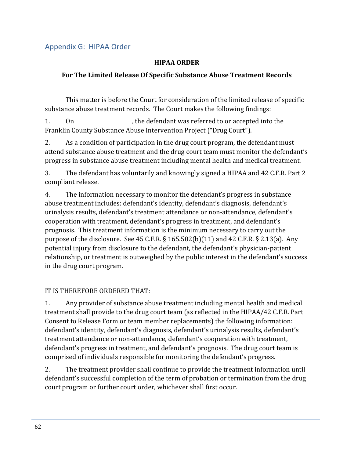## <span id="page-63-0"></span>Appendix G: HIPAA Order

#### **HIPAA ORDER**

### **For The Limited Release Of Specific Substance Abuse Treatment Records**

This matter is before the Court for consideration of the limited release of specific substance abuse treatment records. The Court makes the following findings:

1. On the defendant was referred to or accepted into the Franklin County Substance Abuse Intervention Project ("Drug Court").

2. As a condition of participation in the drug court program, the defendant must attend substance abuse treatment and the drug court team must monitor the defendant's progress in substance abuse treatment including mental health and medical treatment.

3. The defendant has voluntarily and knowingly signed a HIPAA and 42 C.F.R. Part 2 compliant release.

4. The information necessary to monitor the defendant's progress in substance abuse treatment includes: defendant's identity, defendant's diagnosis, defendant's urinalysis results, defendant's treatment attendance or non-attendance, defendant's cooperation with treatment, defendant's progress in treatment, and defendant's prognosis. This treatment information is the minimum necessary to carry out the purpose of the disclosure. See 45 C.F.R.  $\S 165.502(b)(11)$  and 42 C.F.R.  $\S 2.13(a)$ . Any potential injury from disclosure to the defendant, the defendant's physician-patient relationship, or treatment is outweighed by the public interest in the defendant's success in the drug court program.

### IT IS THEREFORE ORDERED THAT:

1. Any provider of substance abuse treatment including mental health and medical treatment shall provide to the drug court team (as reflected in the HIPAA/42 C.F.R. Part Consent to Release Form or team member replacements) the following information: defendant's identity, defendant's diagnosis, defendant's urinalysis results, defendant's treatment attendance or non-attendance, defendant's cooperation with treatment, defendant's progress in treatment, and defendant's prognosis. The drug court team is comprised of individuals responsible for monitoring the defendant's progress.

2. The treatment provider shall continue to provide the treatment information until defendant's successful completion of the term of probation or termination from the drug court program or further court order, whichever shall first occur.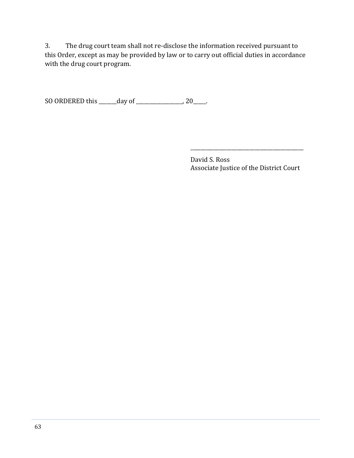3. The drug court team shall not re-disclose the information received pursuant to this Order, except as may be provided by law or to carry out official duties in accordance with the drug court program.

SO ORDERED this \_\_\_\_\_\_\_day of \_\_\_\_\_\_\_\_\_\_\_\_\_\_\_\_\_\_, 20\_\_\_\_\_.

 David S. Ross Associate Justice of the District Court

\_\_\_\_\_\_\_\_\_\_\_\_\_\_\_\_\_\_\_\_\_\_\_\_\_\_\_\_\_\_\_\_\_\_\_\_\_\_\_\_\_\_\_\_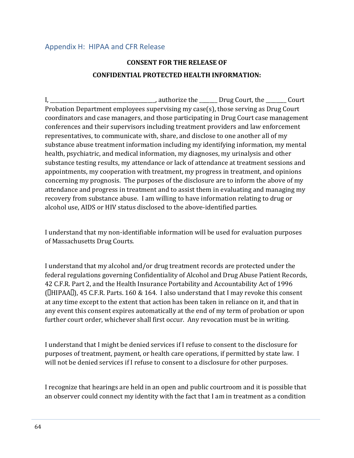## <span id="page-65-0"></span>Appendix H: HIPAA and CFR Release

## **CONSENT FOR THE RELEASE OF CONFIDENTIAL PROTECTED HEALTH INFORMATION:**

I, \_\_\_\_\_\_\_\_\_\_\_\_\_\_\_\_\_\_\_\_\_\_\_\_\_\_\_\_\_\_\_\_, authorize the \_\_\_\_\_\_\_Drug Court, the \_\_\_\_\_\_\_ Court Probation Department employees supervising my case(s), those serving as Drug Court coordinators and case managers, and those participating in Drug Court case management conferences and their supervisors including treatment providers and law enforcement representatives, to communicate with, share, and disclose to one another all of my substance abuse treatment information including my identifying information, my mental health, psychiatric, and medical information, my diagnoses, my urinalysis and other substance testing results, my attendance or lack of attendance at treatment sessions and appointments, my cooperation with treatment, my progress in treatment, and opinions concerning my prognosis. The purposes of the disclosure are to inform the above of my attendance and progress in treatment and to assist them in evaluating and managing my recovery from substance abuse. I am willing to have information relating to drug or alcohol use, AIDS or HIV status disclosed to the above-identified parties.

I understand that my non-identifiable information will be used for evaluation purposes of Massachusetts Drug Courts.

I understand that my alcohol and/or drug treatment records are protected under the federal regulations governing Confidentiality of Alcohol and Drug Abuse Patient Records, 42 C.F.R. Part 2, and the Health Insurance Portability and Accountability Act of 1996  $[CHIPAAI]$ , 45 C.F.R. Parts. 160 & 164. I also understand that I may revoke this consent at any time except to the extent that action has been taken in reliance on it, and that in any event this consent expires automatically at the end of my term of probation or upon further court order, whichever shall first occur. Any revocation must be in writing.

I understand that I might be denied services if I refuse to consent to the disclosure for purposes of treatment, payment, or health care operations, if permitted by state law. I will not be denied services if I refuse to consent to a disclosure for other purposes.

I recognize that hearings are held in an open and public courtroom and it is possible that an observer could connect my identity with the fact that I am in treatment as a condition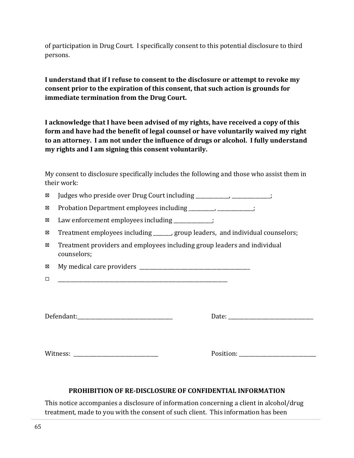of participation in Drug Court. I specifically consent to this potential disclosure to third persons.

**I understand that if I refuse to consent to the disclosure or attempt to revoke my consent prior to the expiration of this consent, that such action is grounds for immediate termination from the Drug Court.** 

**I acknowledge that I have been advised of my rights, have received a copy of this form and have had the benefit of legal counsel or have voluntarily waived my right to an attorney. I am not under the influence of drugs or alcohol. I fully understand my rights and I am signing this consent voluntarily.** 

My consent to disclosure specifically includes the following and those who assist them in their work:

 $\boxtimes$  Judges who preside over Drug Court including \_\_\_\_\_\_\_\_\_\_\_, \_\_\_\_\_\_\_\_\_\_\_\_;

Probation Department employees including \_\_\_\_\_\_\_\_\_\_, \_\_\_\_\_\_\_\_\_\_\_\_\_\_;

 $\boxtimes$  Law enforcement employees including  $\Box$ 

 $\boxtimes$  Treatment employees including expansion group leaders, and individual counselors;

 $\boxtimes$  Treatment providers and employees including group leaders and individual counselors;

 $\boxtimes$  My medical care providers

\_\_\_\_\_\_\_\_\_\_\_\_\_\_\_\_\_\_\_\_\_\_\_\_\_\_\_\_\_\_\_\_\_\_\_\_\_\_\_\_\_\_\_\_\_\_\_\_\_\_\_\_\_\_\_\_\_\_\_\_\_\_\_\_\_\_

Defendant:\_\_\_\_\_\_\_\_\_\_\_\_\_\_\_\_\_\_\_\_\_\_\_\_\_\_\_\_\_\_\_\_\_\_\_\_\_ Date: \_\_\_\_\_\_\_\_\_\_\_\_\_\_\_\_\_\_\_\_\_\_\_\_\_\_\_\_\_\_\_\_\_

Witness: \_\_\_\_\_\_\_\_\_\_\_\_\_\_\_\_\_\_\_\_\_\_\_\_\_\_\_\_\_\_\_\_\_ Position: \_\_\_\_\_\_\_\_\_\_\_\_\_\_\_\_\_\_\_\_\_\_\_\_\_\_\_\_\_\_

#### **PROHIBITION OF RE-DISCLOSURE OF CONFIDENTIAL INFORMATION**

This notice accompanies a disclosure of information concerning a client in alcohol/drug treatment, made to you with the consent of such client. This information has been